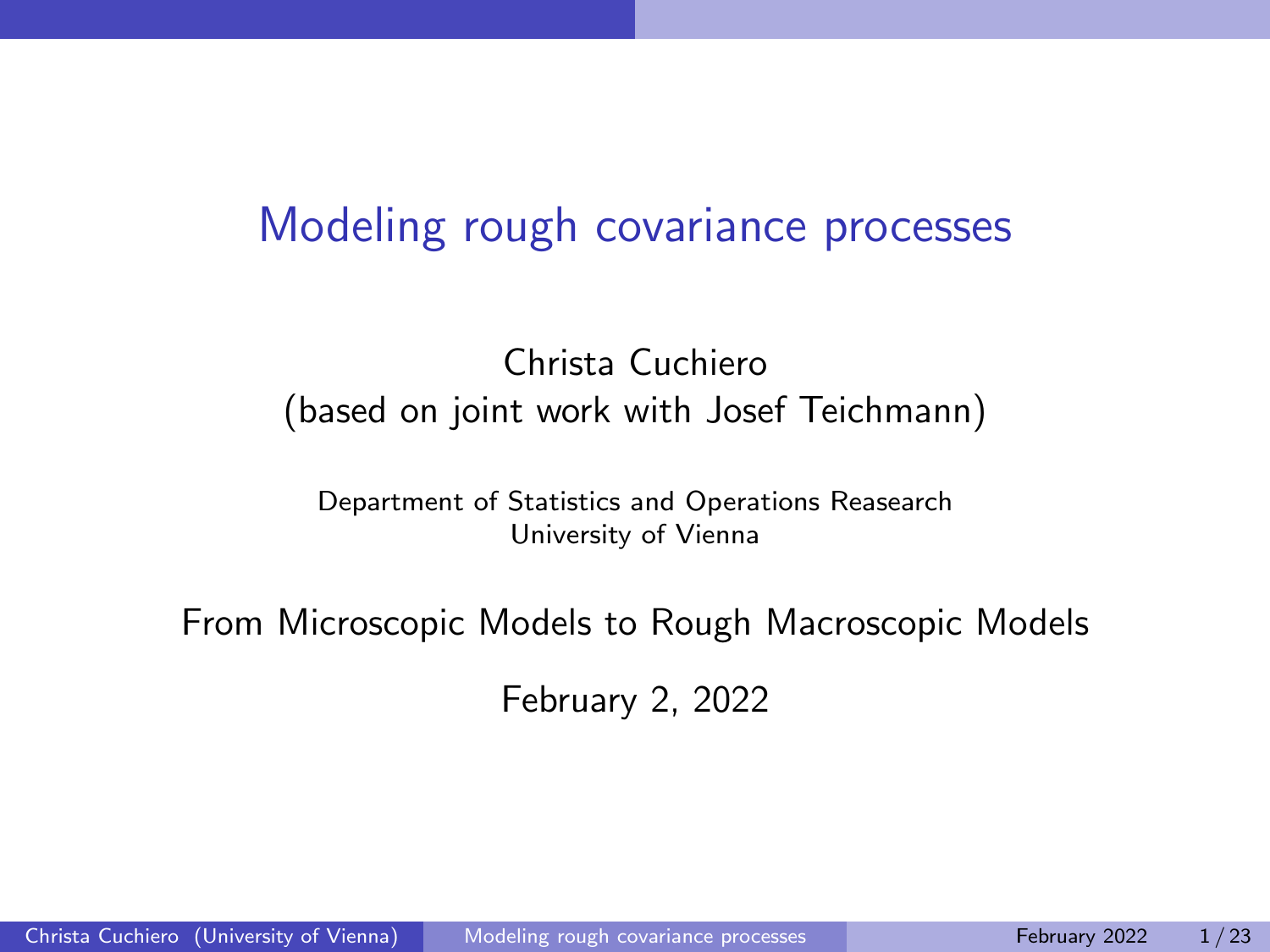### <span id="page-0-0"></span>Modeling rough covariance processes

#### Christa Cuchiero (based on joint work with Josef Teichmann)

Department of Statistics and Operations Reasearch University of Vienna

From Microscopic Models to Rough Macroscopic Models

February 2, 2022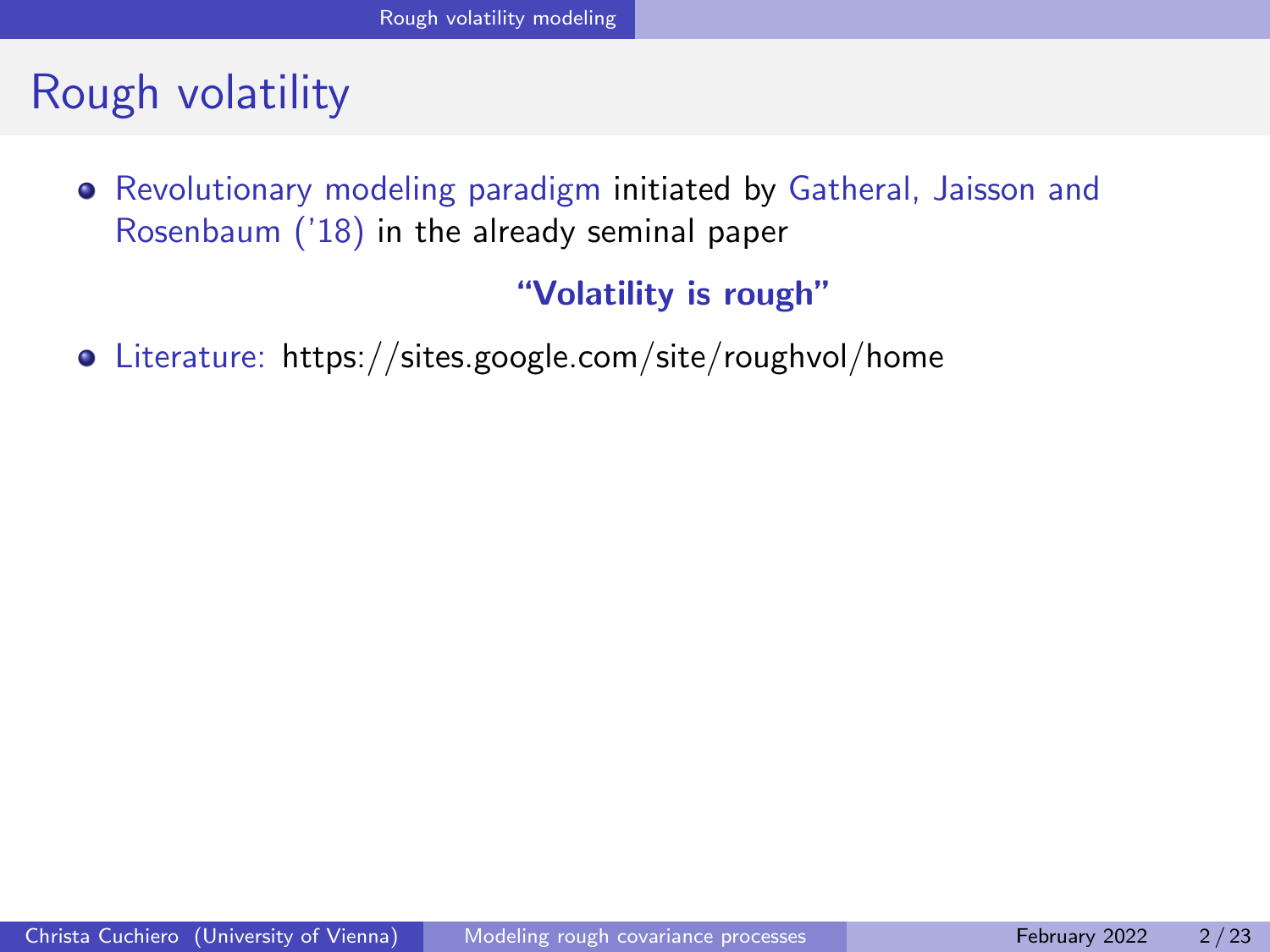# <span id="page-1-0"></span>Rough volatility

Revolutionary modeling paradigm initiated by Gatheral, Jaisson and Rosenbaum ('18) in the already seminal paper

"Volatility is rough"

Literature: https://sites.google.com/site/roughvol/home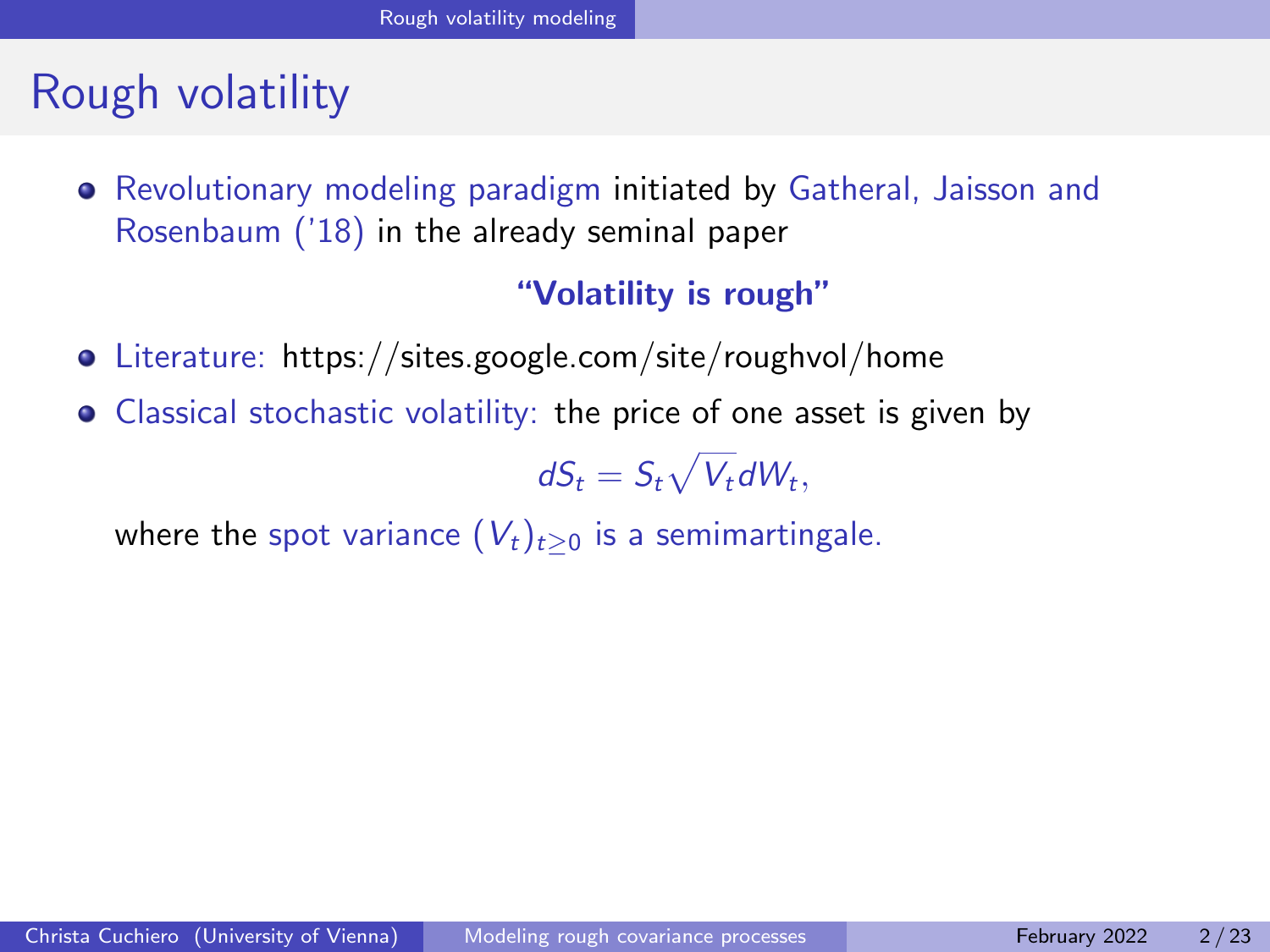# Rough volatility

Revolutionary modeling paradigm initiated by Gatheral, Jaisson and Rosenbaum ('18) in the already seminal paper

#### "Volatility is rough"

- Literature: https://sites.google.com/site/roughvol/home
- Classical stochastic volatility: the price of one asset is given by

 $dS_t = S_t \sqrt{V_t} dW_t,$ 

where the spot variance  $(V_t)_{t\geq0}$  is a semimartingale.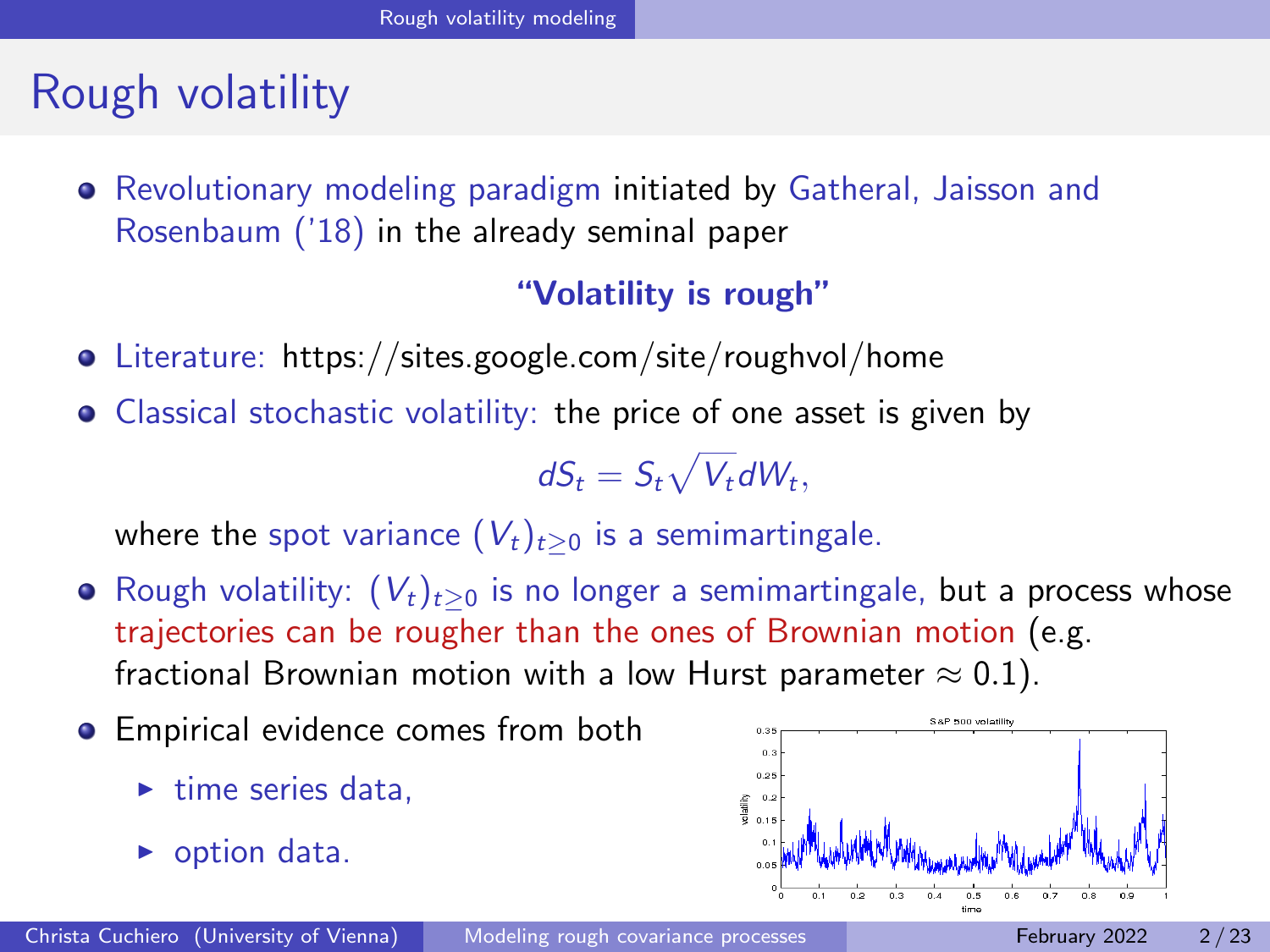# Rough volatility

Revolutionary modeling paradigm initiated by Gatheral, Jaisson and Rosenbaum ('18) in the already seminal paper

#### "Volatility is rough"

- Literature: https://sites.google.com/site/roughvol/home
- Classical stochastic volatility: the price of one asset is given by

$$
dS_t = S_t \sqrt{V_t} dW_t,
$$

where the spot variance  $(V_t)_{t\geq0}$  is a semimartingale.

- Rough volatility:  $(V_t)_{t>0}$  is no longer a semimartingale, but a process whose trajectories can be rougher than the ones of Brownian motion (e.g. fractional Brownian motion with a low Hurst parameter  $\approx 0.1$ ).
- **•** Empirical evidence comes from both
	- $\blacktriangleright$  time series data.
	- $\triangleright$  option data.

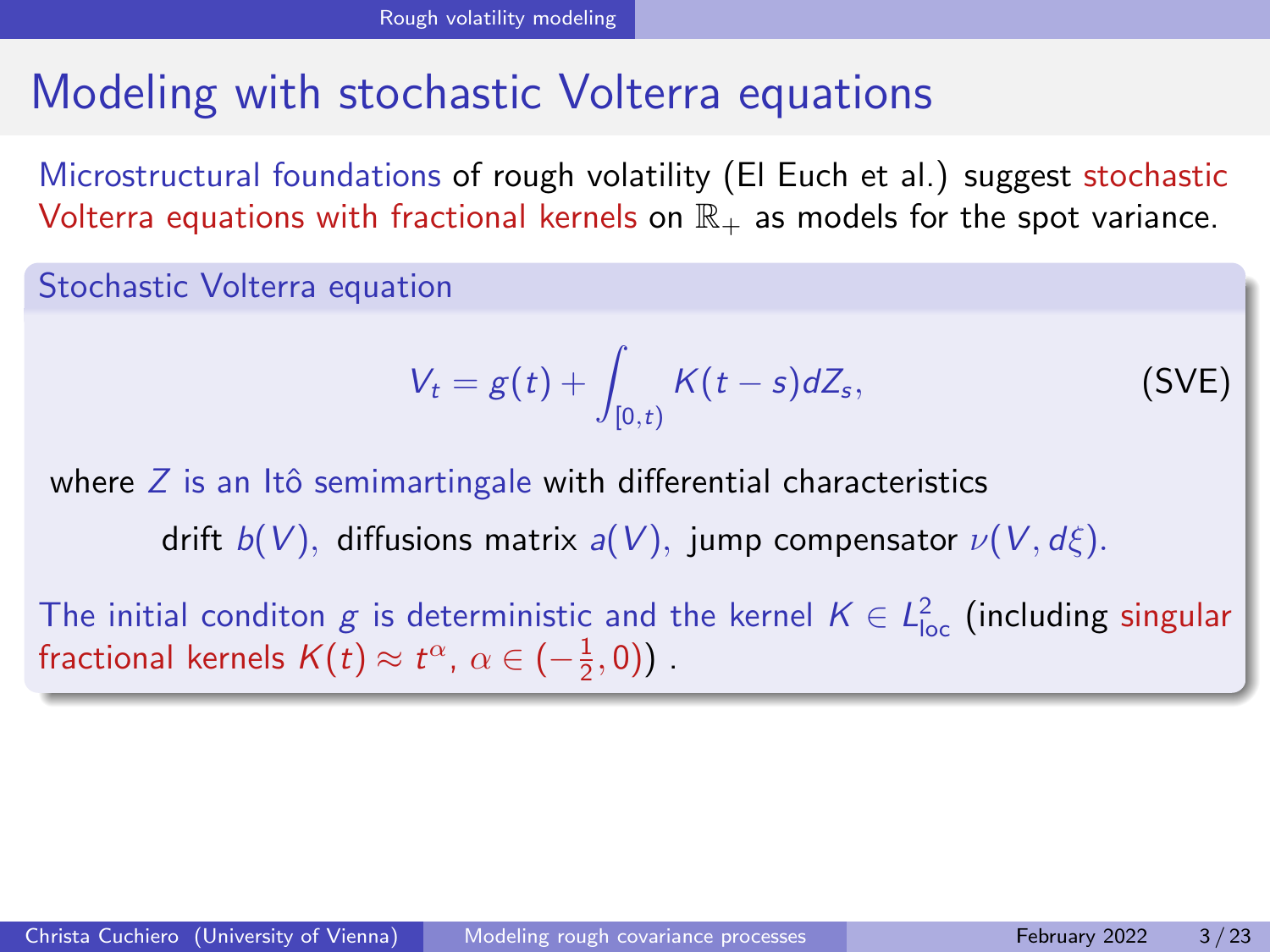# Modeling with stochastic Volterra equations

Microstructural foundations of rough volatility (El Euch et al.) suggest stochastic Volterra equations with fractional kernels on  $\mathbb{R}_+$  as models for the spot variance.

Stochastic Volterra equation

$$
V_t = g(t) + \int_{[0,t)} K(t-s)dZ_s,
$$
 (SVE)

where  $Z$  is an Itô semimartingale with differential characteristics

drift  $b(V)$ , diffusions matrix  $a(V)$ , jump compensator  $\nu(V, d\xi)$ .

The initial conditon  $g$  is deterministic and the kernel  $K \in L^2_{\mathsf{loc}}$  (including singular fractional kernels  $K(t) \approx t^{\alpha}, \ \alpha \in (-\frac{1}{2},0)$ ).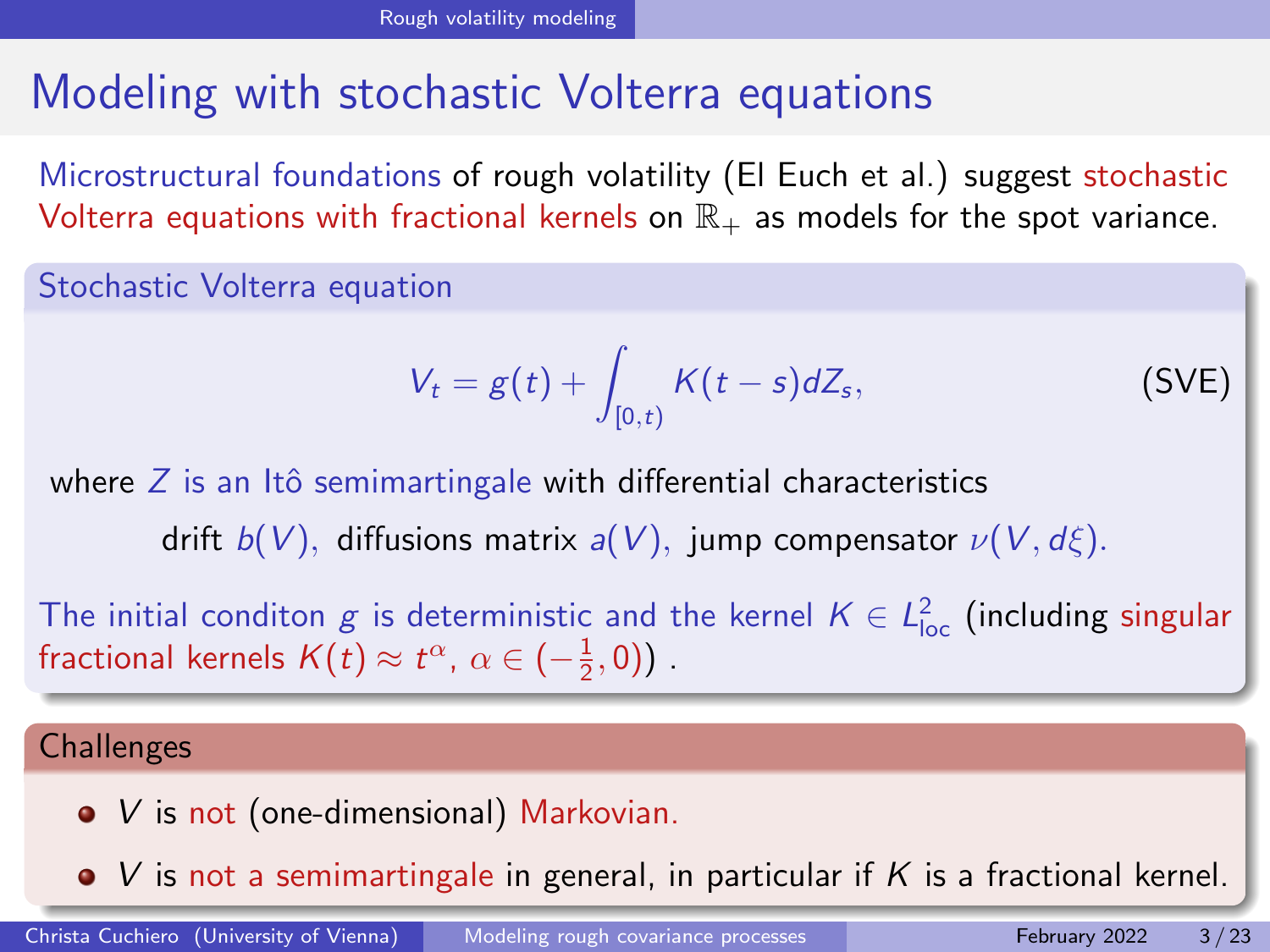# Modeling with stochastic Volterra equations

Microstructural foundations of rough volatility (El Euch et al.) suggest stochastic Volterra equations with fractional kernels on  $\mathbb{R}_+$  as models for the spot variance.

Stochastic Volterra equation

$$
V_t = g(t) + \int_{[0,t)} K(t-s)dZ_s,
$$
 (SVE)

where  $Z$  is an Itô semimartingale with differential characteristics drift  $b(V)$ , diffusions matrix  $a(V)$ , jump compensator  $\nu(V, d\xi)$ .

The initial conditon  $g$  is deterministic and the kernel  $K \in L^2_{\mathsf{loc}}$  (including singular fractional kernels  $K(t) \approx t^{\alpha}, \ \alpha \in (-\frac{1}{2},0)$ ).

#### **Challenges**

- *V* is not (one-dimensional) Markovian.
- $\bullet$  V is not a semimartingale in general, in particular if K is a fractional kernel.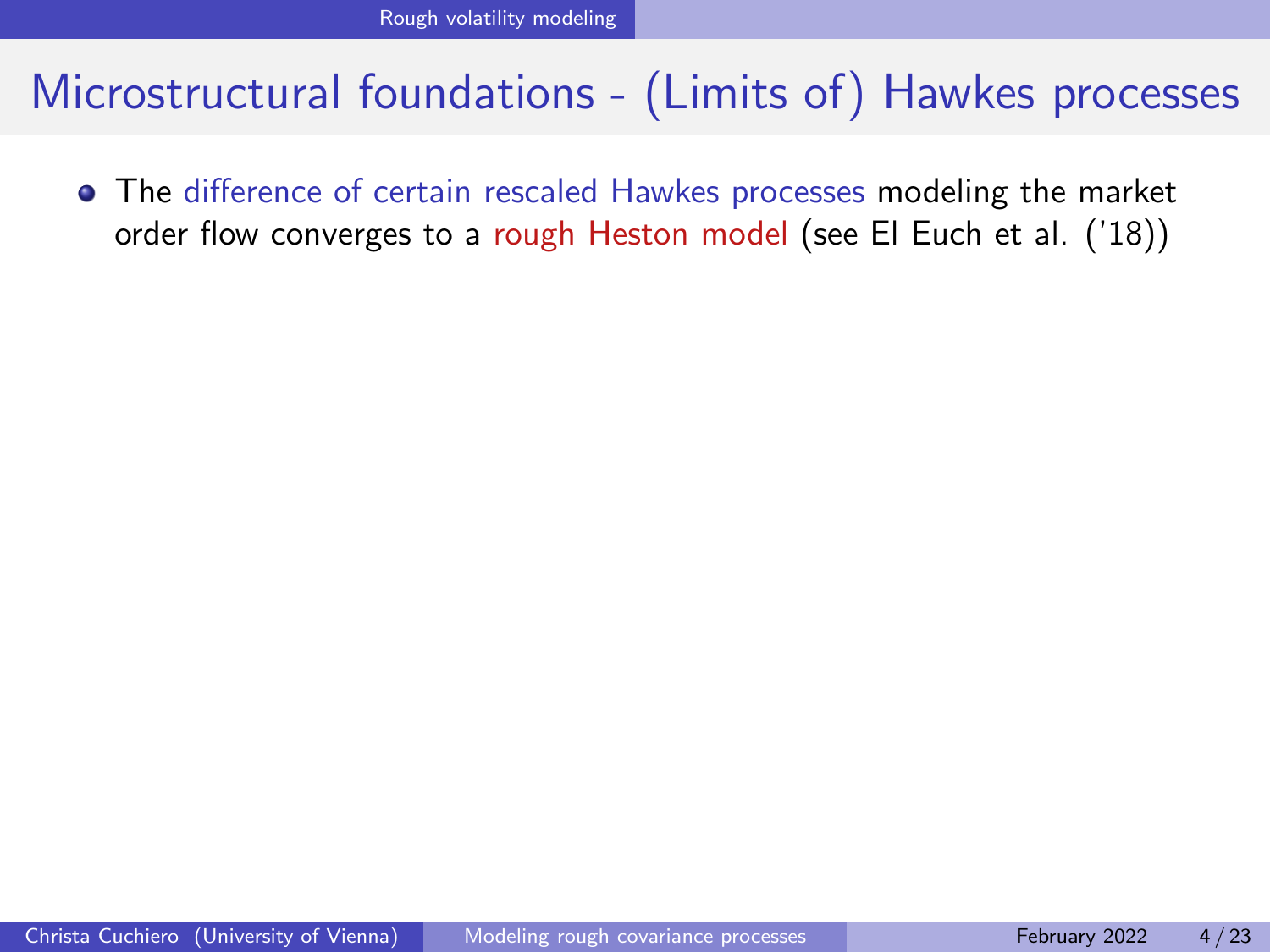The difference of certain rescaled Hawkes processes modeling the market order flow converges to a rough Heston model (see El Euch et al. ('18))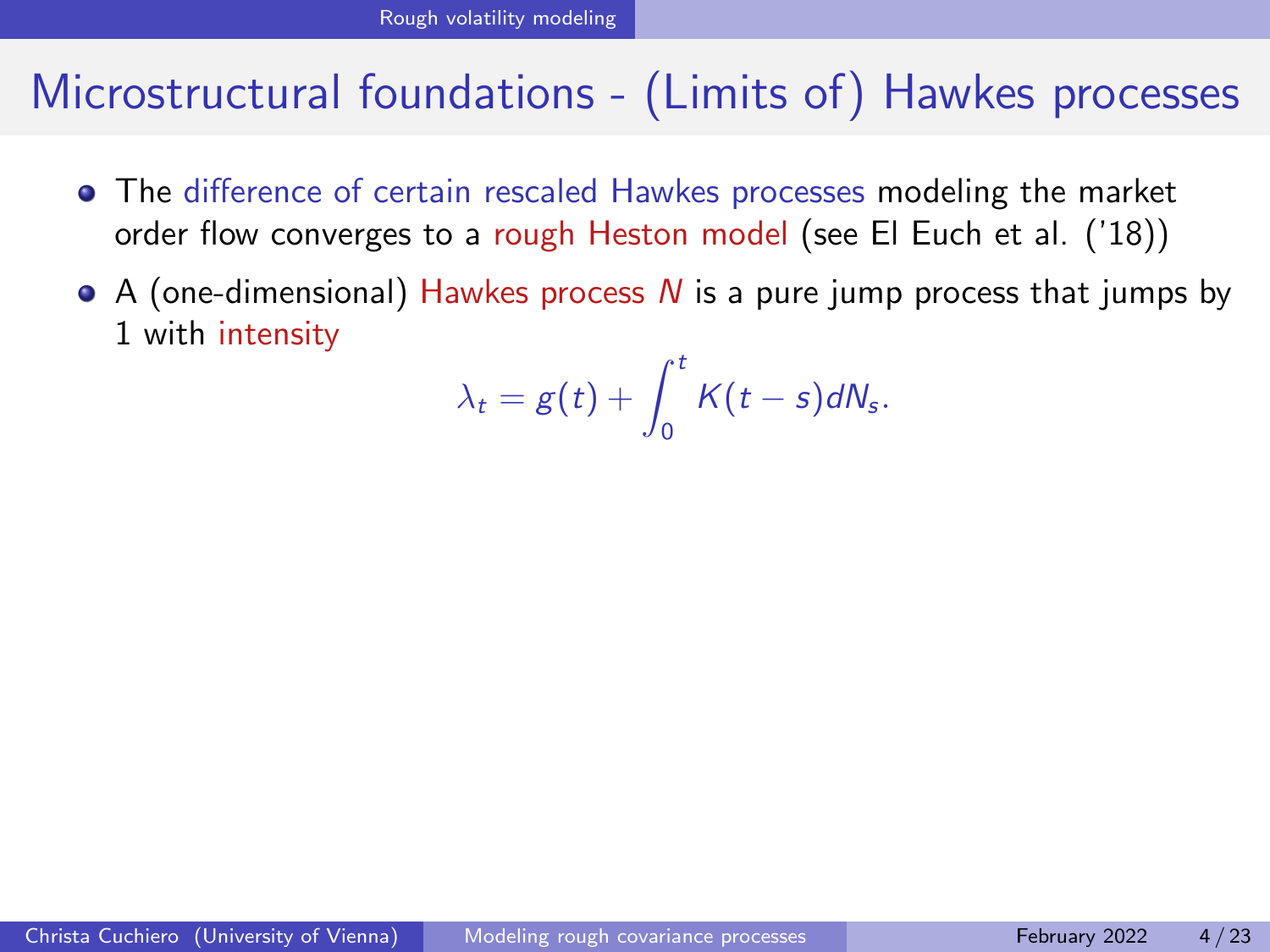- The difference of certain rescaled Hawkes processes modeling the market order flow converges to a rough Heston model (see El Euch et al. ('18))
- $\bullet$  A (one-dimensional) Hawkes process N is a pure jump process that jumps by 1 with intensity

$$
\lambda_t = g(t) + \int_0^t K(t-s)dN_s.
$$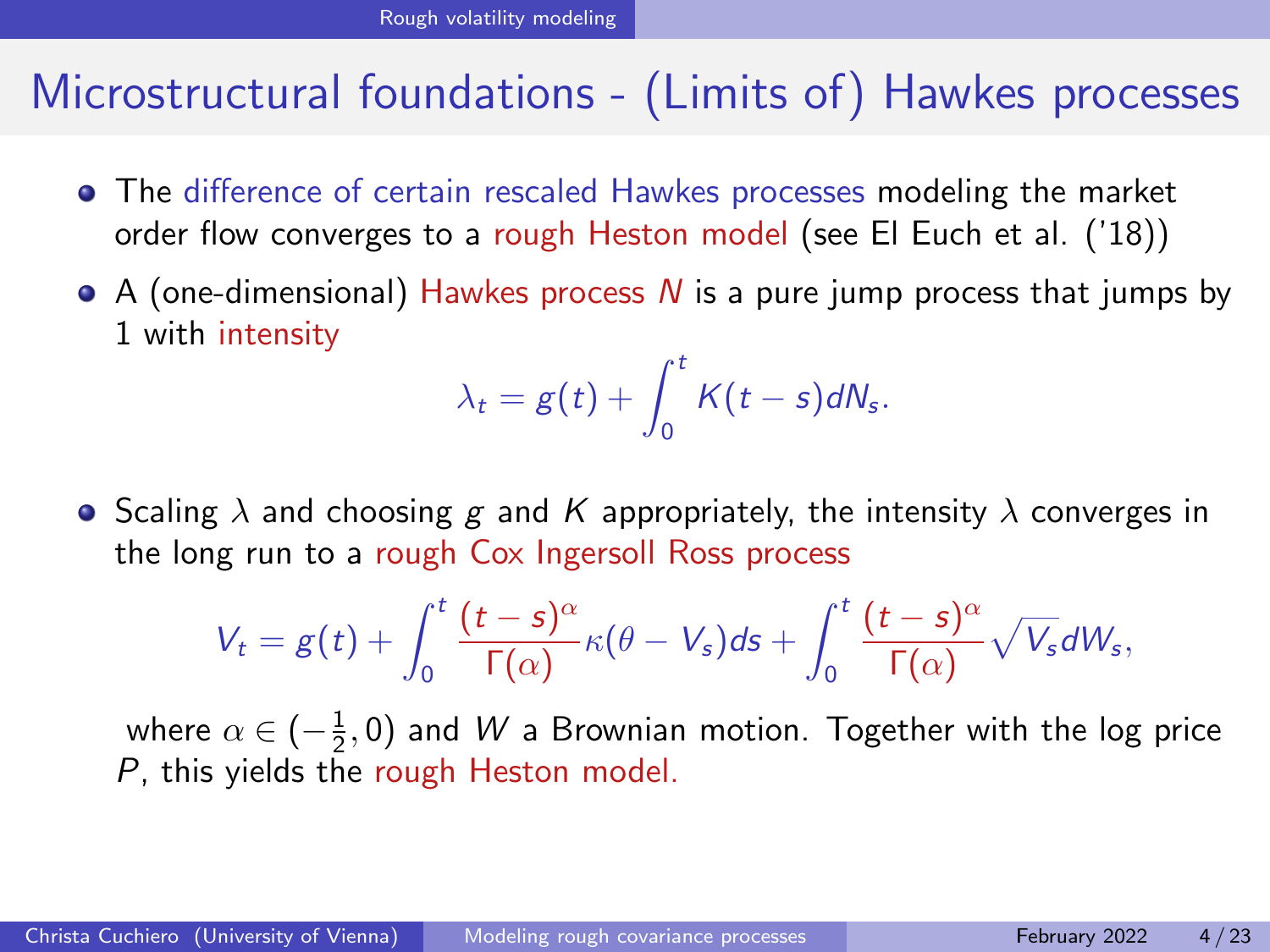- The difference of certain rescaled Hawkes processes modeling the market order flow converges to a rough Heston model (see El Euch et al. ('18))
- $\bullet$  A (one-dimensional) Hawkes process N is a pure jump process that jumps by 1 with intensity

$$
\lambda_t = g(t) + \int_0^t K(t-s)dN_s.
$$

**•** Scaling  $\lambda$  and choosing g and K appropriately, the intensity  $\lambda$  converges in the long run to a rough Cox Ingersoll Ross process

$$
V_t = g(t) + \int_0^t \frac{(t-s)^\alpha}{\Gamma(\alpha)} \kappa(\theta - V_s) ds + \int_0^t \frac{(t-s)^\alpha}{\Gamma(\alpha)} \sqrt{V_s} dW_s,
$$

where  $\alpha\in(-\frac{1}{2},0)$  and  $W$  a Brownian motion. Together with the log price P, this yields the rough Heston model.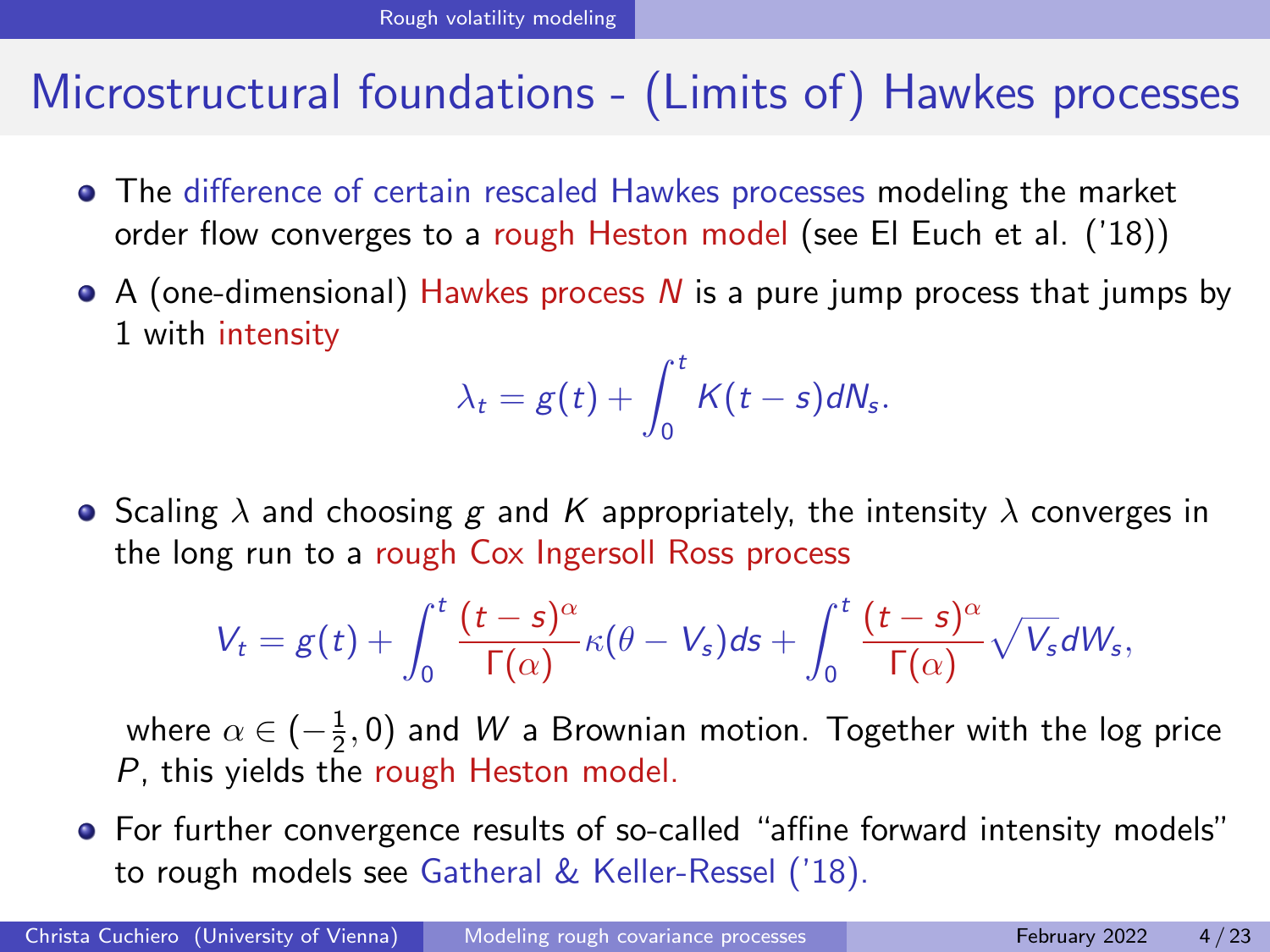- The difference of certain rescaled Hawkes processes modeling the market order flow converges to a rough Heston model (see El Euch et al. ('18))
- $\bullet$  A (one-dimensional) Hawkes process N is a pure jump process that jumps by 1 with intensity

$$
\lambda_t = g(t) + \int_0^t K(t-s)dN_s.
$$

**•** Scaling  $\lambda$  and choosing g and K appropriately, the intensity  $\lambda$  converges in the long run to a rough Cox Ingersoll Ross process

$$
V_t = g(t) + \int_0^t \frac{(t-s)^\alpha}{\Gamma(\alpha)} \kappa(\theta - V_s) ds + \int_0^t \frac{(t-s)^\alpha}{\Gamma(\alpha)} \sqrt{V_s} dW_s,
$$

where  $\alpha\in(-\frac{1}{2},0)$  and  $W$  a Brownian motion. Together with the log price P, this yields the rough Heston model.

• For further convergence results of so-called "affine forward intensity models" to rough models see Gatheral & Keller-Ressel ('18).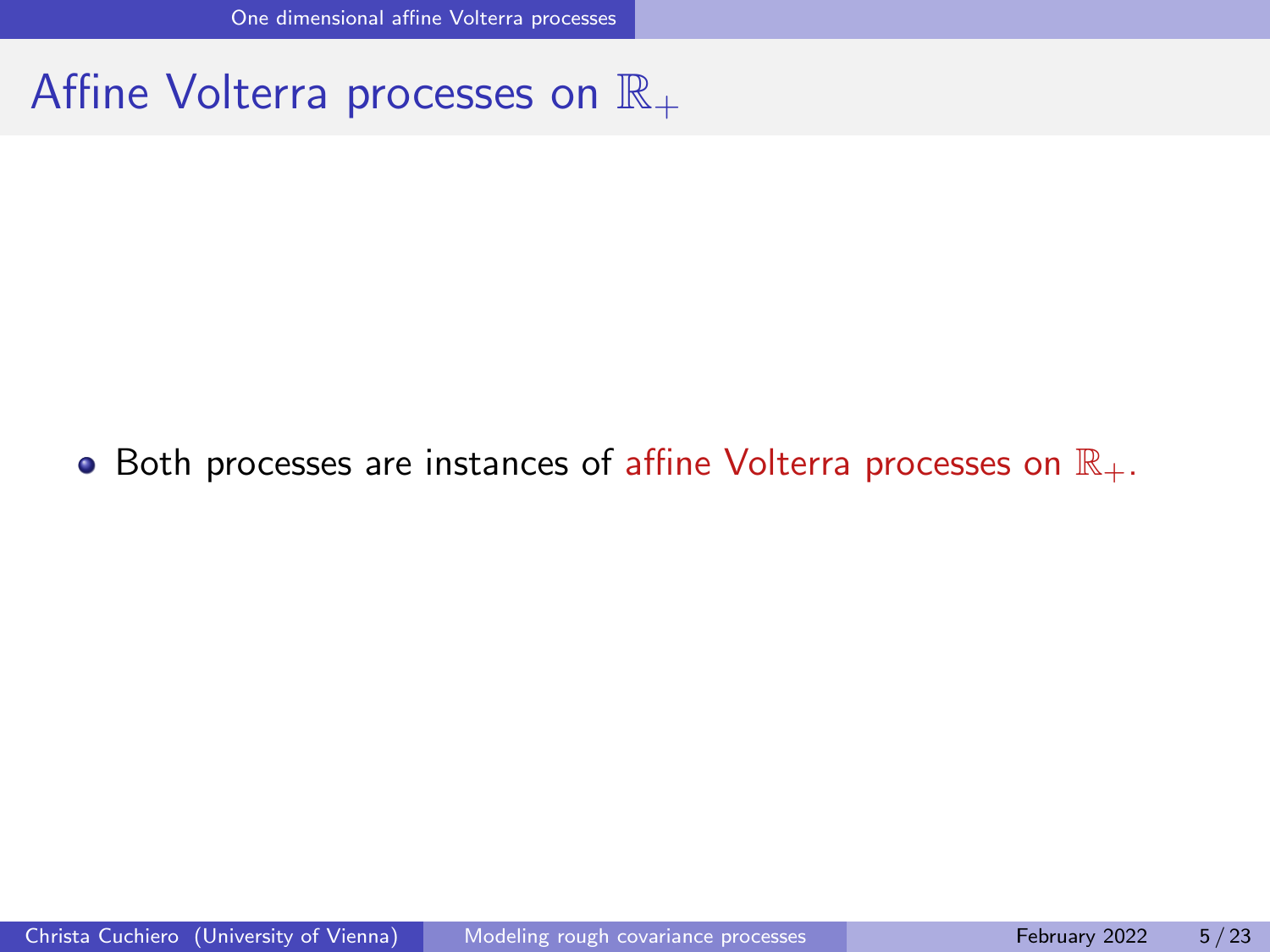### <span id="page-10-0"></span>Affine Volterra processes on  $\mathbb{R}_+$

#### • Both processes are instances of affine Volterra processes on  $\mathbb{R}_+$ .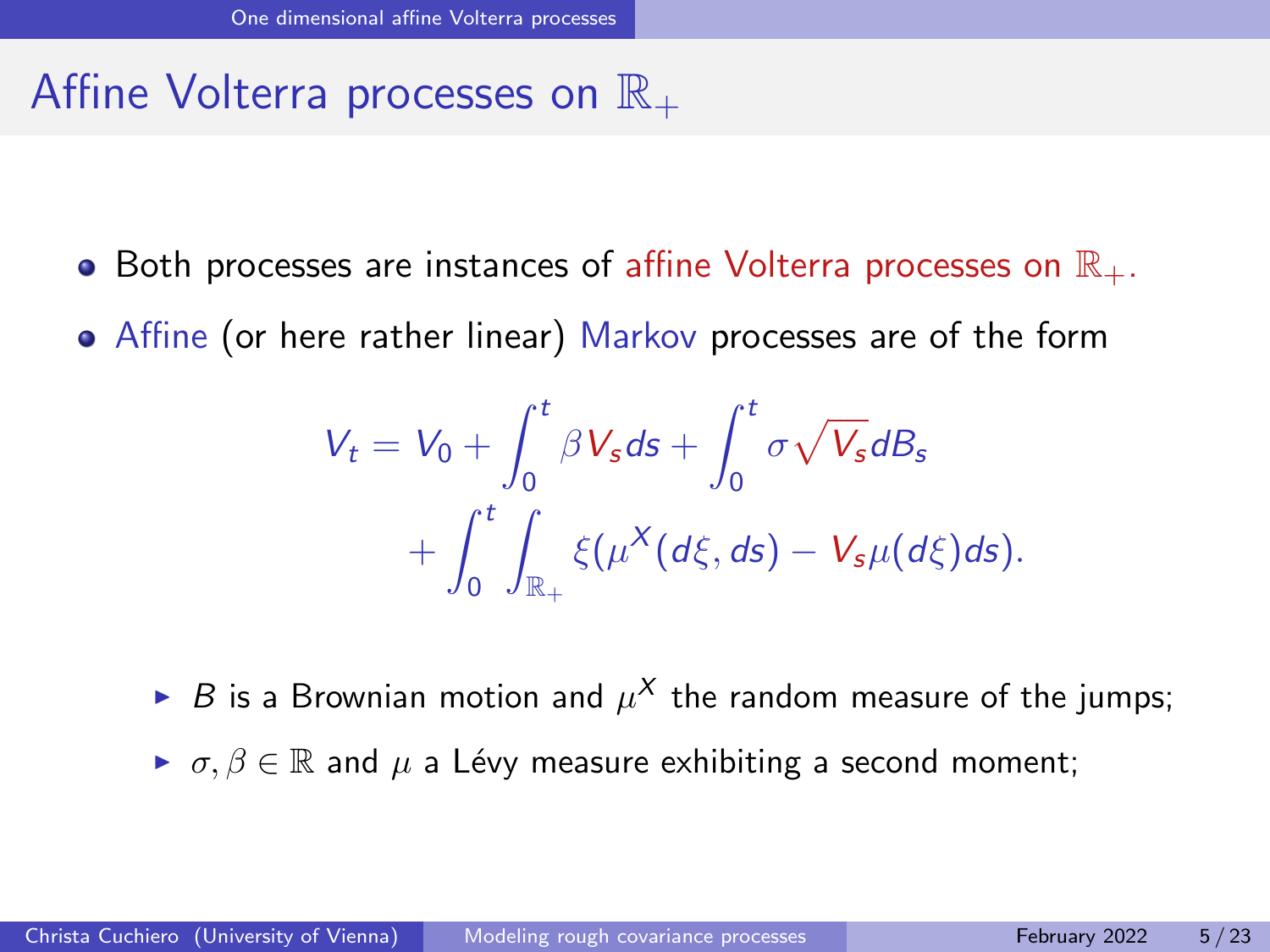### Affine Volterra processes on  $\mathbb{R}_+$

- Both processes are instances of affine Volterra processes on  $\mathbb{R}_+$ .
- Affine (or here rather linear) Markov processes are of the form

$$
V_t = V_0 + \int_0^t \beta V_s ds + \int_0^t \sigma \sqrt{V_s} dB_s
$$
  
+ 
$$
\int_0^t \int_{\mathbb{R}_+} \xi(\mu^X(d\xi, ds) - V_s \mu(d\xi) ds).
$$

- $\blacktriangleright$  B is a Brownian motion and  $\mu^X$  the random measure of the jumps;
- $\triangleright \sigma, \beta \in \mathbb{R}$  and  $\mu$  a Lévy measure exhibiting a second moment;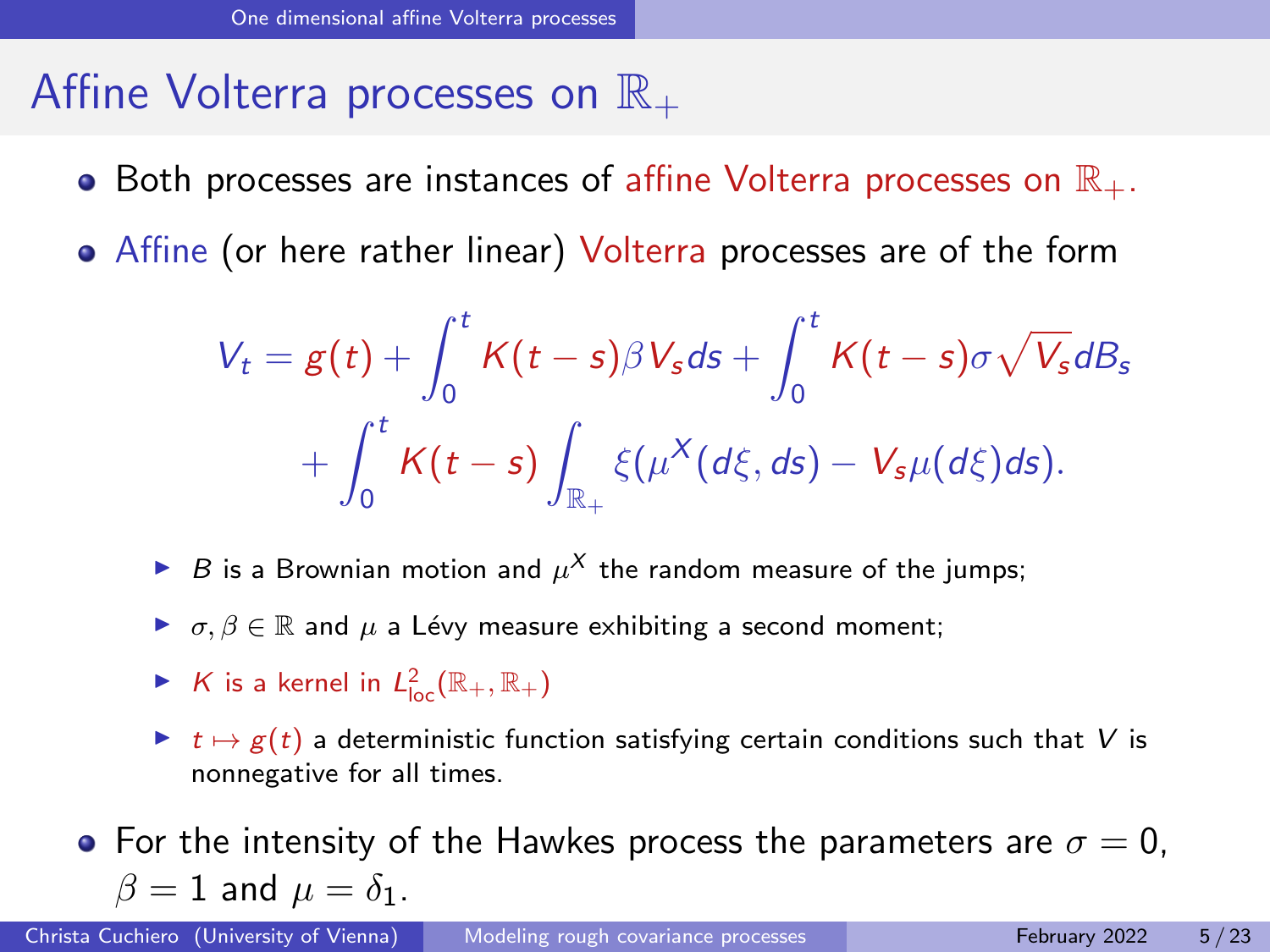### Affine Volterra processes on  $\mathbb{R}_+$

- Both processes are instances of affine Volterra processes on  $\mathbb{R}_+$ .
- Affine (or here rather linear) Volterra processes are of the form

$$
V_t = g(t) + \int_0^t K(t-s)\beta V_s ds + \int_0^t K(t-s)\sigma\sqrt{V_s}dB_s
$$
  
+ 
$$
\int_0^t K(t-s)\int_{\mathbb{R}_+} \xi(\mu^X(d\xi, ds) - V_s\mu(d\xi)ds).
$$

- $\blacktriangleright$  B is a Brownian motion and  $\mu^X$  the random measure of the jumps;
- $\triangleright$   $\sigma, \beta \in \mathbb{R}$  and  $\mu$  a Lévy measure exhibiting a second moment;
- $\blacktriangleright$  K is a kernel in  $L^2_{\text{loc}}(\mathbb{R}_+,\mathbb{R}_+)$
- $\triangleright$   $t \mapsto g(t)$  a deterministic function satisfying certain conditions such that V is nonnegative for all times.
- For the intensity of the Hawkes process the parameters are  $\sigma = 0$ .  $\beta = 1$  and  $\mu = \delta_1$ .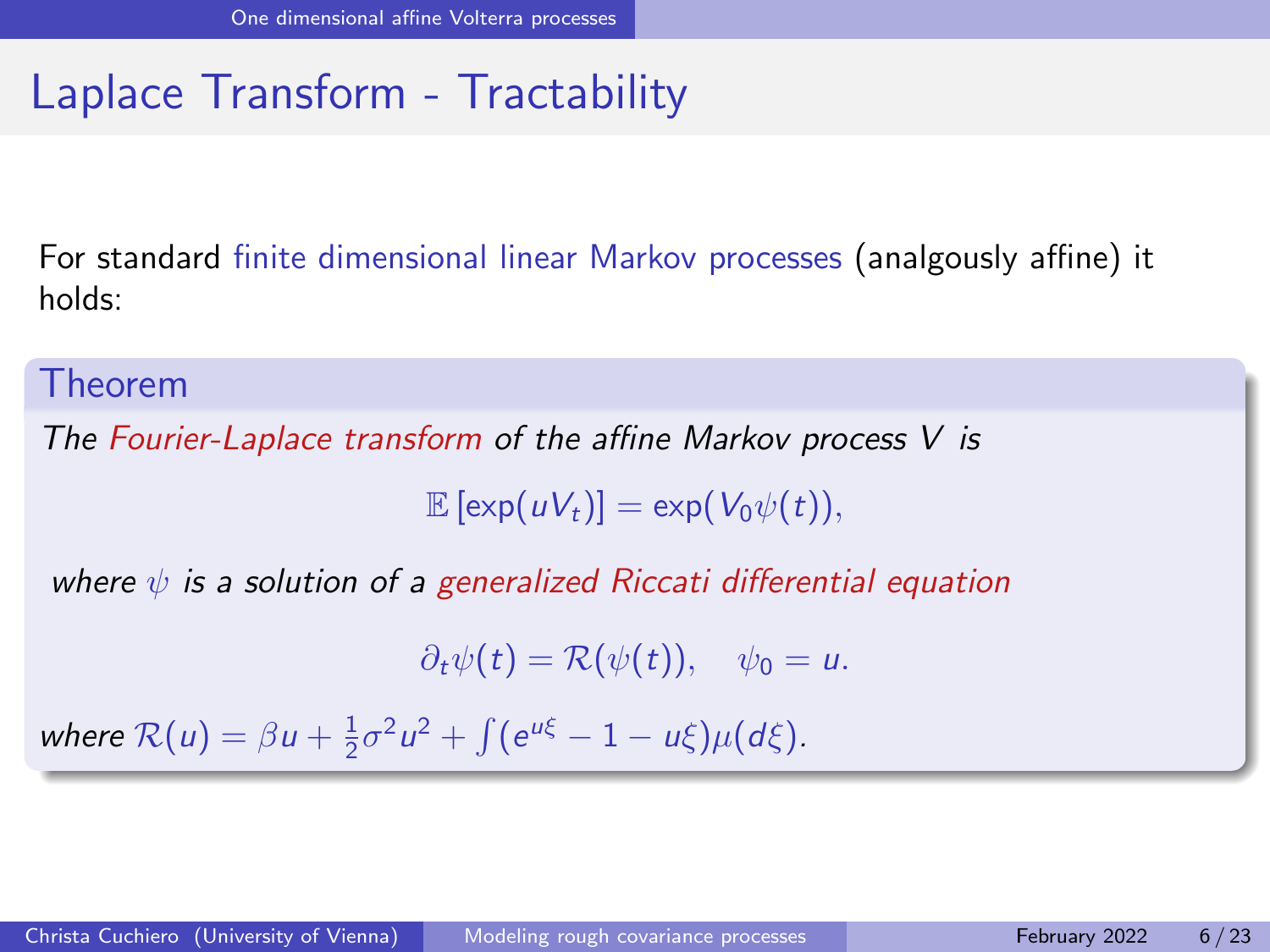For standard finite dimensional linear Markov processes (analgously affine) it holds:

#### Theorem

The Fourier-Laplace transform of the affine Markov process V is

 $\mathbb{E} [\exp(uV_t)] = \exp(V_0 \psi(t)),$ 

where  $\psi$  is a solution of a generalized Riccati differential equation

 $\partial_t \psi(t) = \mathcal{R}(\psi(t)), \quad \psi_0 = u.$ 

where  $\mathcal{R}(u) = \beta u + \frac{1}{2}\sigma^2 u^2 + \int (e^{u\xi} - 1 - u\xi)\mu(d\xi).$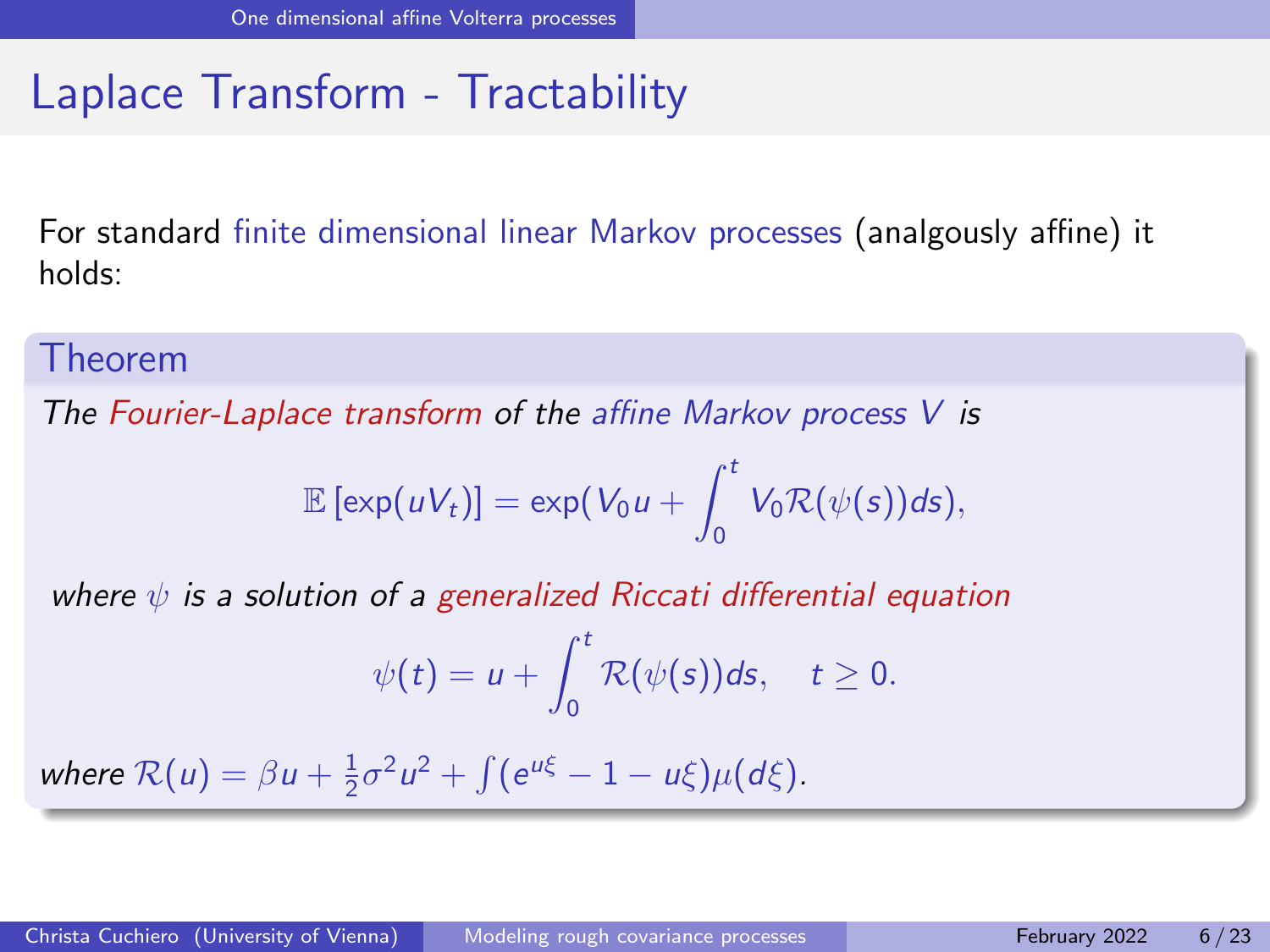For standard finite dimensional linear Markov processes (analgously affine) it holds:

#### Theorem

The Fourier-Laplace transform of the affine Markov process  $V$  is

$$
\mathbb{E}\left[\exp(uV_t)\right]=\exp(V_0u+\int_0^tV_0\mathcal{R}(\psi(s))ds),
$$

where  $\psi$  is a solution of a generalized Riccati differential equation

$$
\psi(t)=u+\int_0^t \mathcal{R}(\psi(s))ds,\quad t\geq 0.
$$

where  $\mathcal{R}(u) = \beta u + \frac{1}{2}\sigma^2 u^2 + \int (e^{u\xi} - 1 - u\xi)\mu(d\xi).$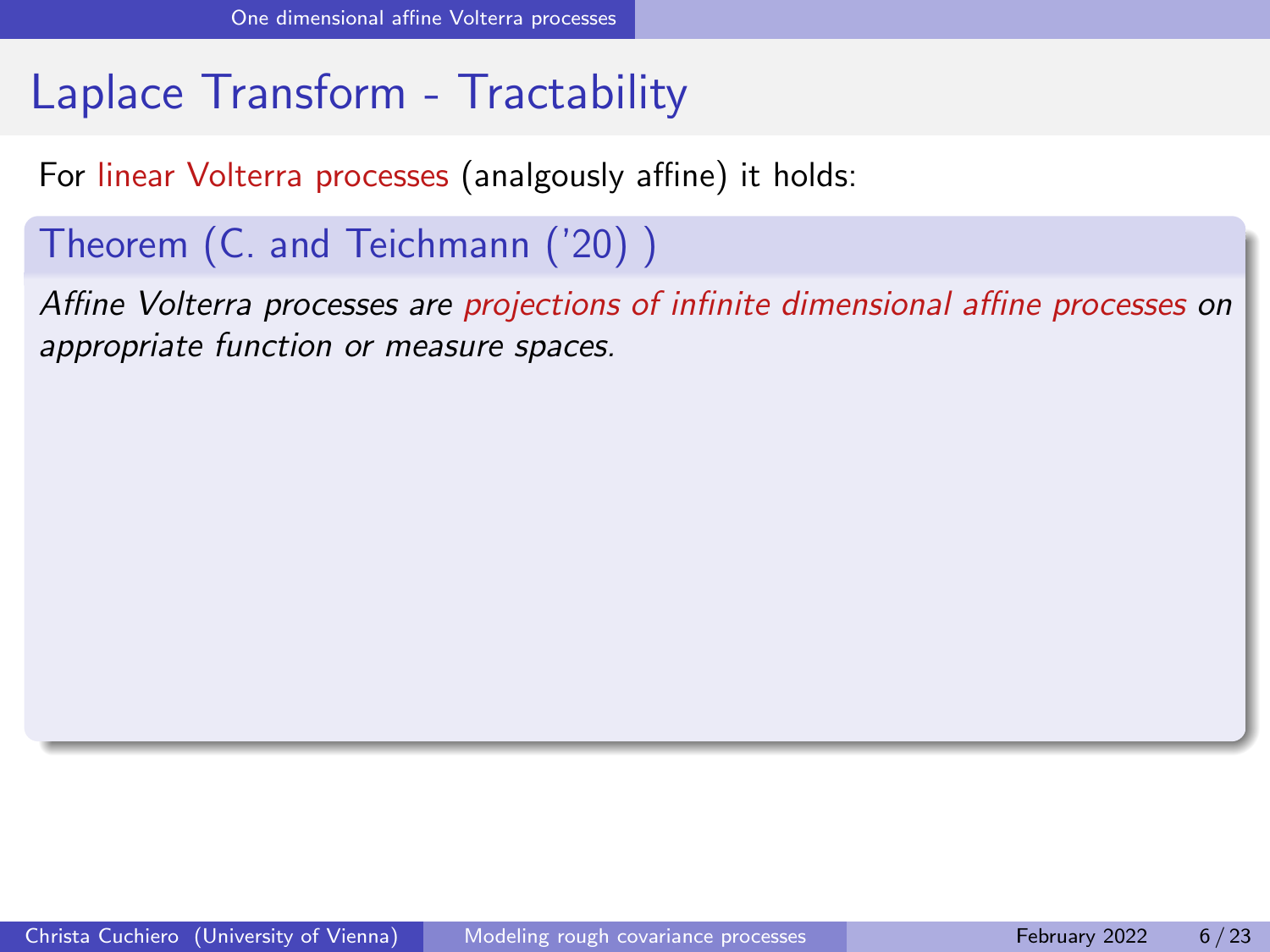For linear Volterra processes (analgously affine) it holds:

#### Theorem (C. and Teichmann ('20) )

Affine Volterra processes are projections of infinite dimensional affine processes on appropriate function or measure spaces.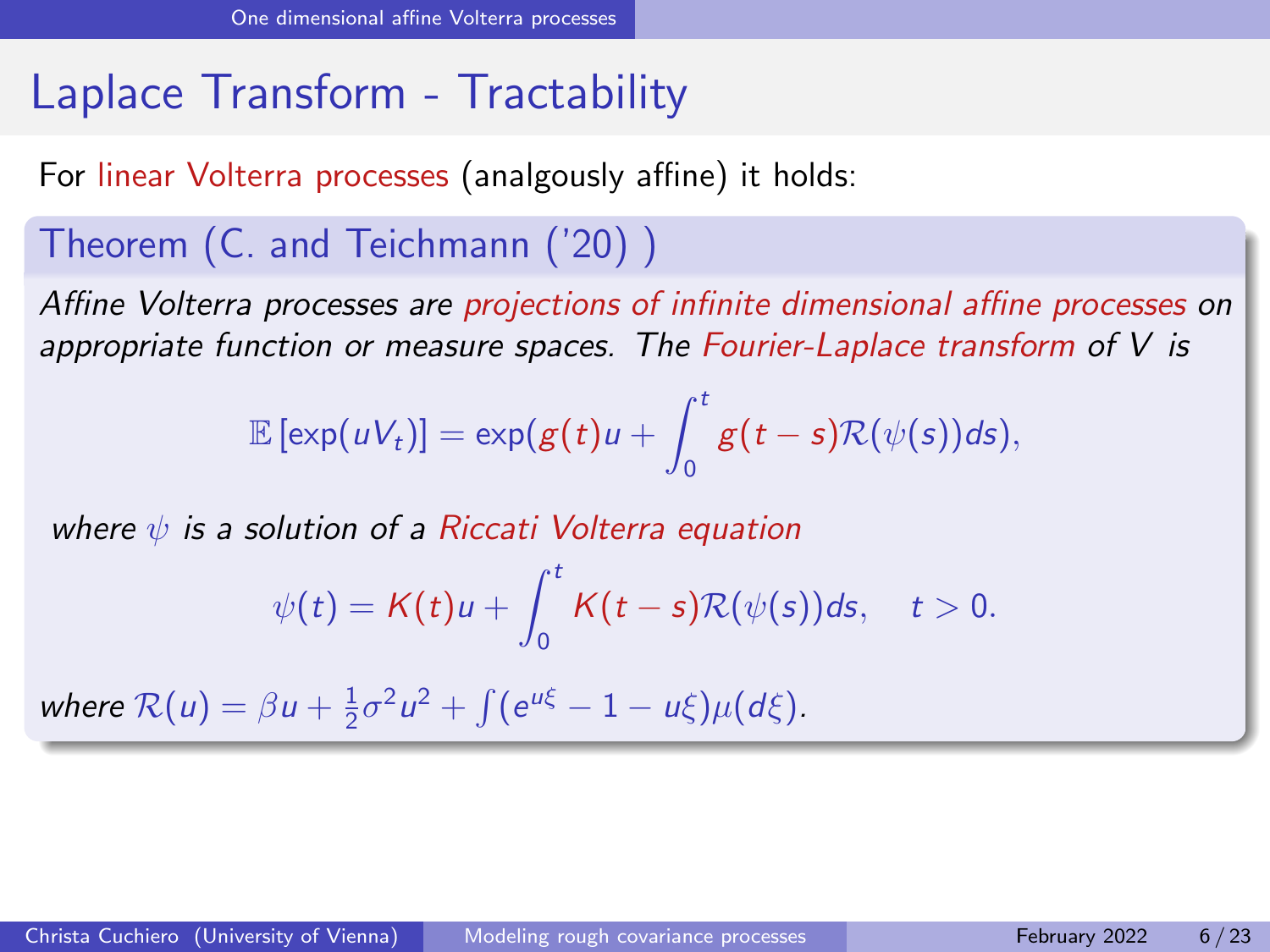For linear Volterra processes (analgously affine) it holds:

#### Theorem (C. and Teichmann ('20) )

Affine Volterra processes are projections of infinite dimensional affine processes on appropriate function or measure spaces. The Fourier-Laplace transform of  $V$  is

$$
\mathbb{E}[\exp(uV_t)]=\exp(g(t)u+\int_0^t g(t-s)\mathcal{R}(\psi(s))ds),
$$

where  $\psi$  is a solution of a Riccati Volterra equation

$$
\psi(t)=\mathcal{K}(t)u+\int_0^t \mathcal{K}(t-s)\mathcal{R}(\psi(s))ds,\quad t>0.
$$

where  $\mathcal{R}(u) = \beta u + \frac{1}{2}\sigma^2 u^2 + \int (e^{u\xi} - 1 - u\xi)\mu(d\xi).$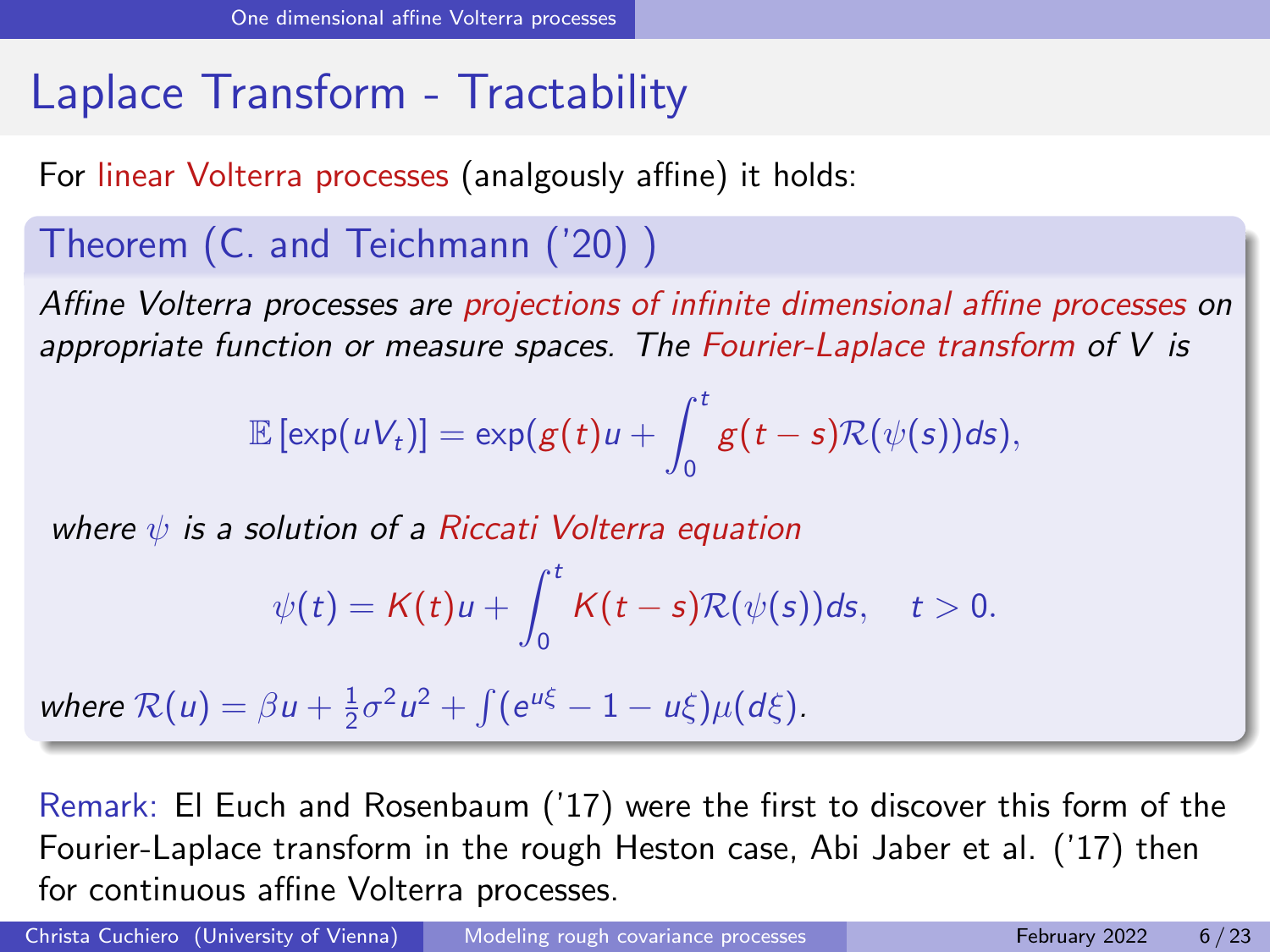For linear Volterra processes (analgously affine) it holds:

#### Theorem (C. and Teichmann ('20) )

Affine Volterra processes are projections of infinite dimensional affine processes on appropriate function or measure spaces. The Fourier-Laplace transform of  $V$  is

$$
\mathbb{E}[\exp(uV_t)]=\exp(g(t)u+\int_0^t g(t-s)\mathcal{R}(\psi(s))ds),
$$

where  $\psi$  is a solution of a Riccati Volterra equation

$$
\psi(t)=K(t)u+\int_0^t K(t-s)\mathcal{R}(\psi(s))ds,\quad t>0.
$$

where  $\mathcal{R}(u) = \beta u + \frac{1}{2}\sigma^2 u^2 + \int (e^{u\xi} - 1 - u\xi)\mu(d\xi).$ 

Remark: El Euch and Rosenbaum ('17) were the first to discover this form of the Fourier-Laplace transform in the rough Heston case, Abi Jaber et al. ('17) then for continuous affine Volterra processes.

Christa Cuchiero (University of Vienna) [Modeling rough covariance processes](#page-0-0) February 2022 6/23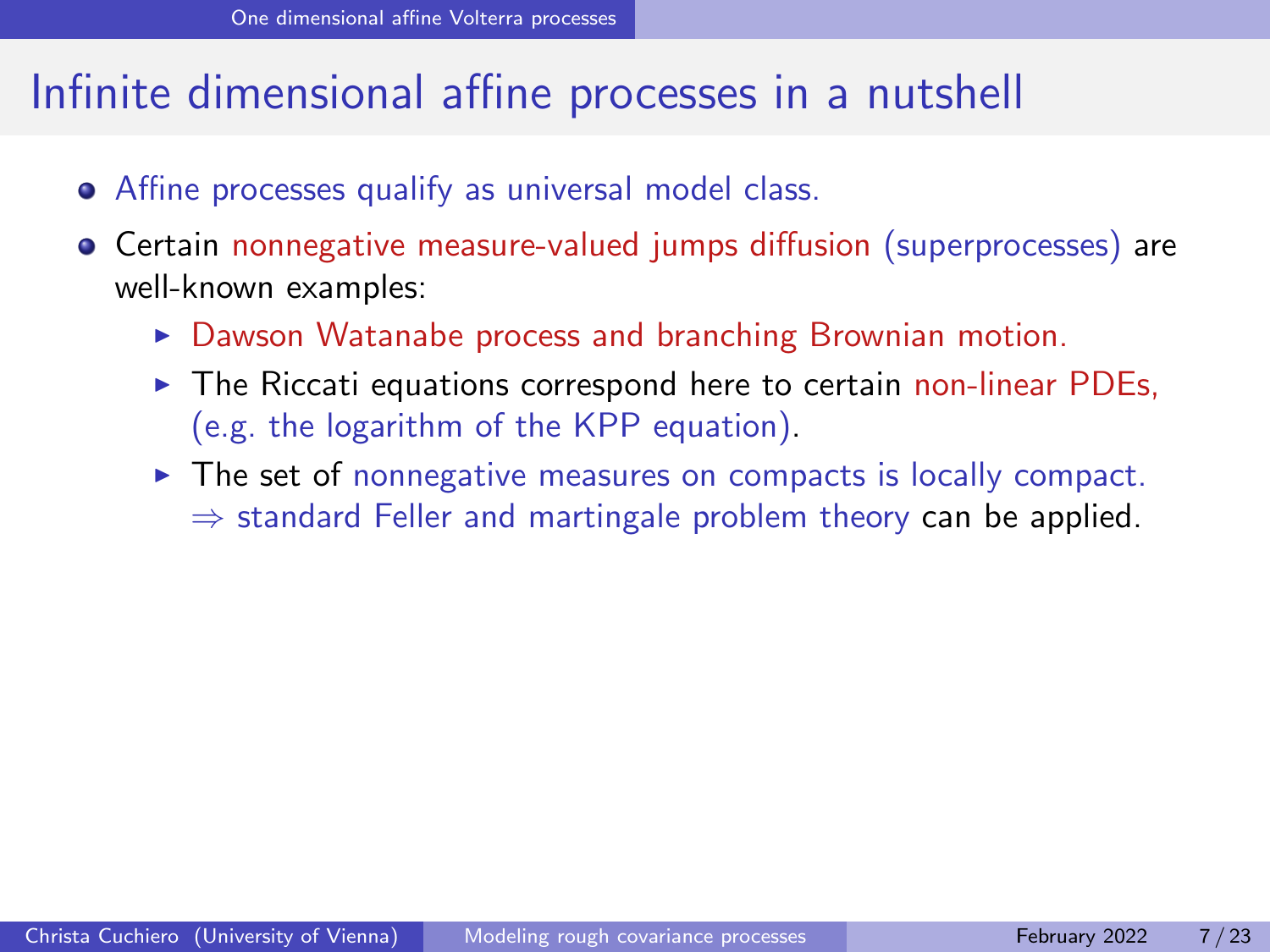#### Infinite dimensional affine processes in a nutshell

- Affine processes qualify as universal model class.
- **•** Certain nonnegative measure-valued jumps diffusion (superprocesses) are well-known examples:
	- $\triangleright$  Dawson Watanabe process and branching Brownian motion.
	- $\triangleright$  The Riccati equations correspond here to certain non-linear PDEs, (e.g. the logarithm of the KPP equation).
	- $\triangleright$  The set of nonnegative measures on compacts is locally compact.  $\Rightarrow$  standard Feller and martingale problem theory can be applied.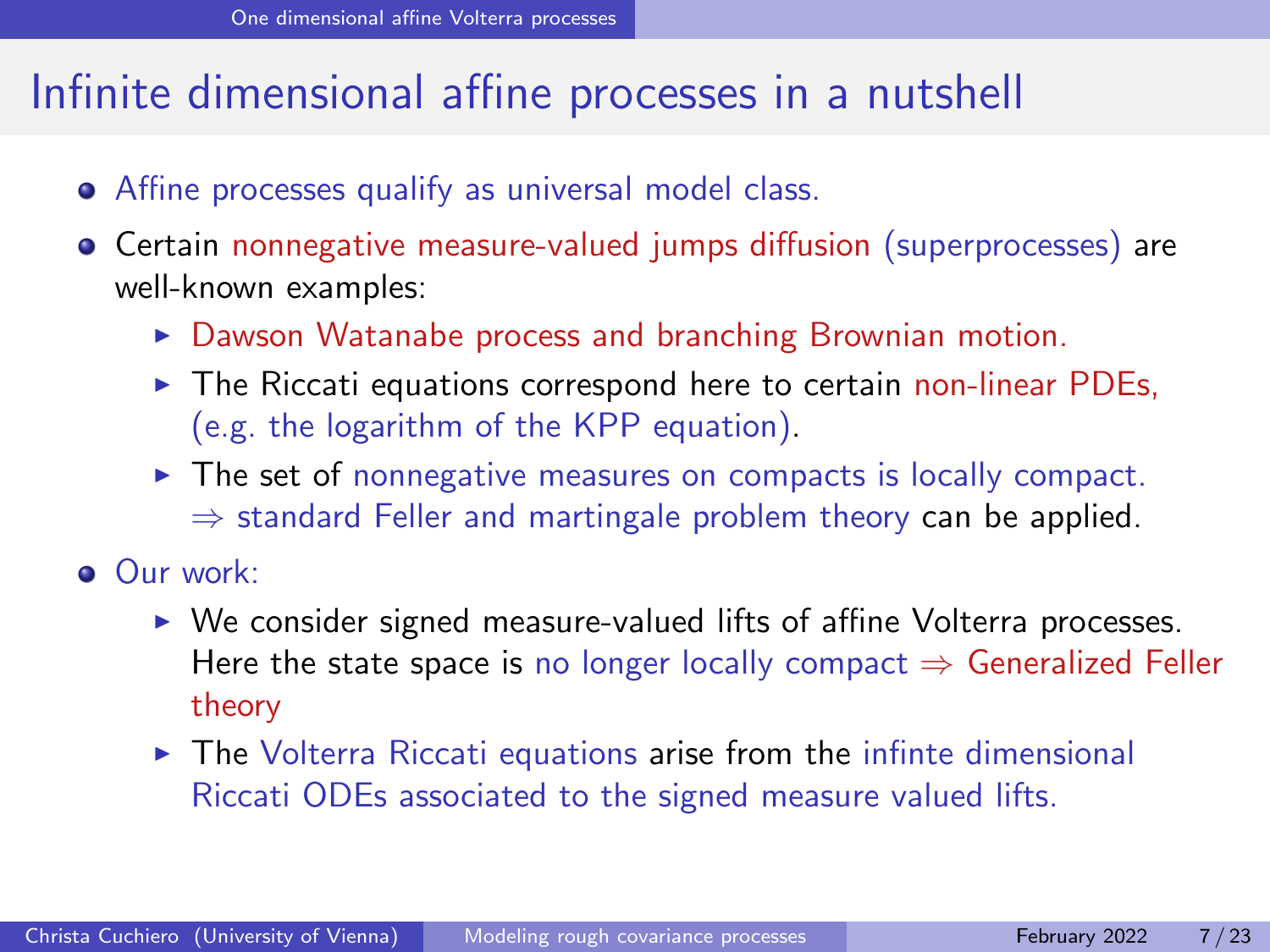#### Infinite dimensional affine processes in a nutshell

- Affine processes qualify as universal model class.
- **•** Certain nonnegative measure-valued jumps diffusion (superprocesses) are well-known examples:
	- $\triangleright$  Dawson Watanabe process and branching Brownian motion.
	- $\triangleright$  The Riccati equations correspond here to certain non-linear PDEs, (e.g. the logarithm of the KPP equation).
	- $\triangleright$  The set of nonnegative measures on compacts is locally compact.  $\Rightarrow$  standard Feller and martingale problem theory can be applied.
- **Our work:** 
	- $\triangleright$  We consider signed measure-valued lifts of affine Volterra processes. Here the state space is no longer locally compact  $\Rightarrow$  Generalized Feller theory
	- $\triangleright$  The Volterra Riccati equations arise from the infinte dimensional Riccati ODEs associated to the signed measure valued lifts.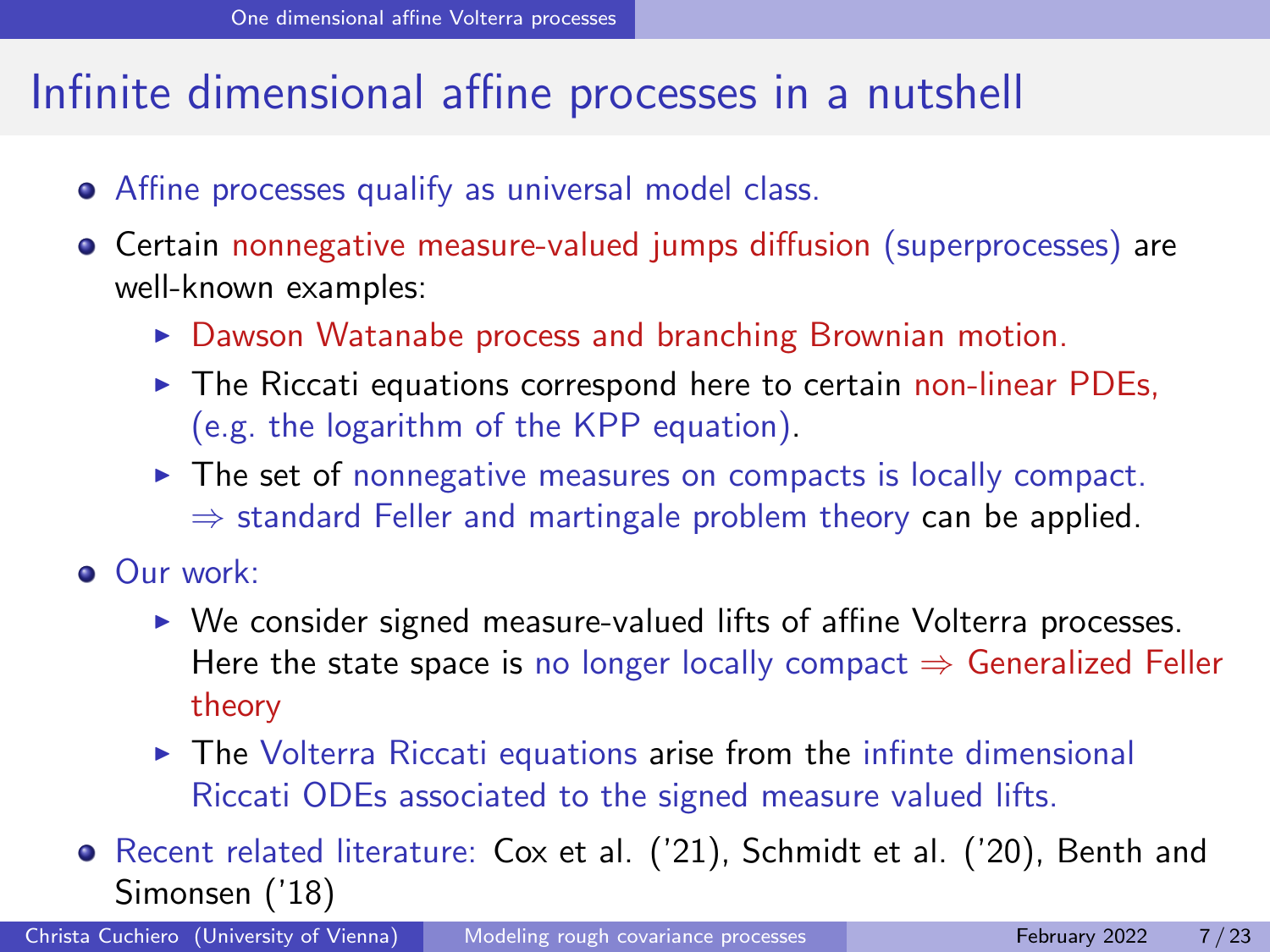### Infinite dimensional affine processes in a nutshell

- Affine processes qualify as universal model class.
- **•** Certain nonnegative measure-valued jumps diffusion (superprocesses) are well-known examples:
	- $\triangleright$  Dawson Watanabe process and branching Brownian motion.
	- $\triangleright$  The Riccati equations correspond here to certain non-linear PDEs, (e.g. the logarithm of the KPP equation).
	- $\triangleright$  The set of nonnegative measures on compacts is locally compact.  $\Rightarrow$  standard Feller and martingale problem theory can be applied.
- **Our work:** 
	- $\triangleright$  We consider signed measure-valued lifts of affine Volterra processes. Here the state space is no longer locally compact  $\Rightarrow$  Generalized Feller theory
	- $\triangleright$  The Volterra Riccati equations arise from the infinte dimensional Riccati ODEs associated to the signed measure valued lifts.
- Recent related literature: Cox et al. ('21), Schmidt et al. ('20), Benth and Simonsen ('18)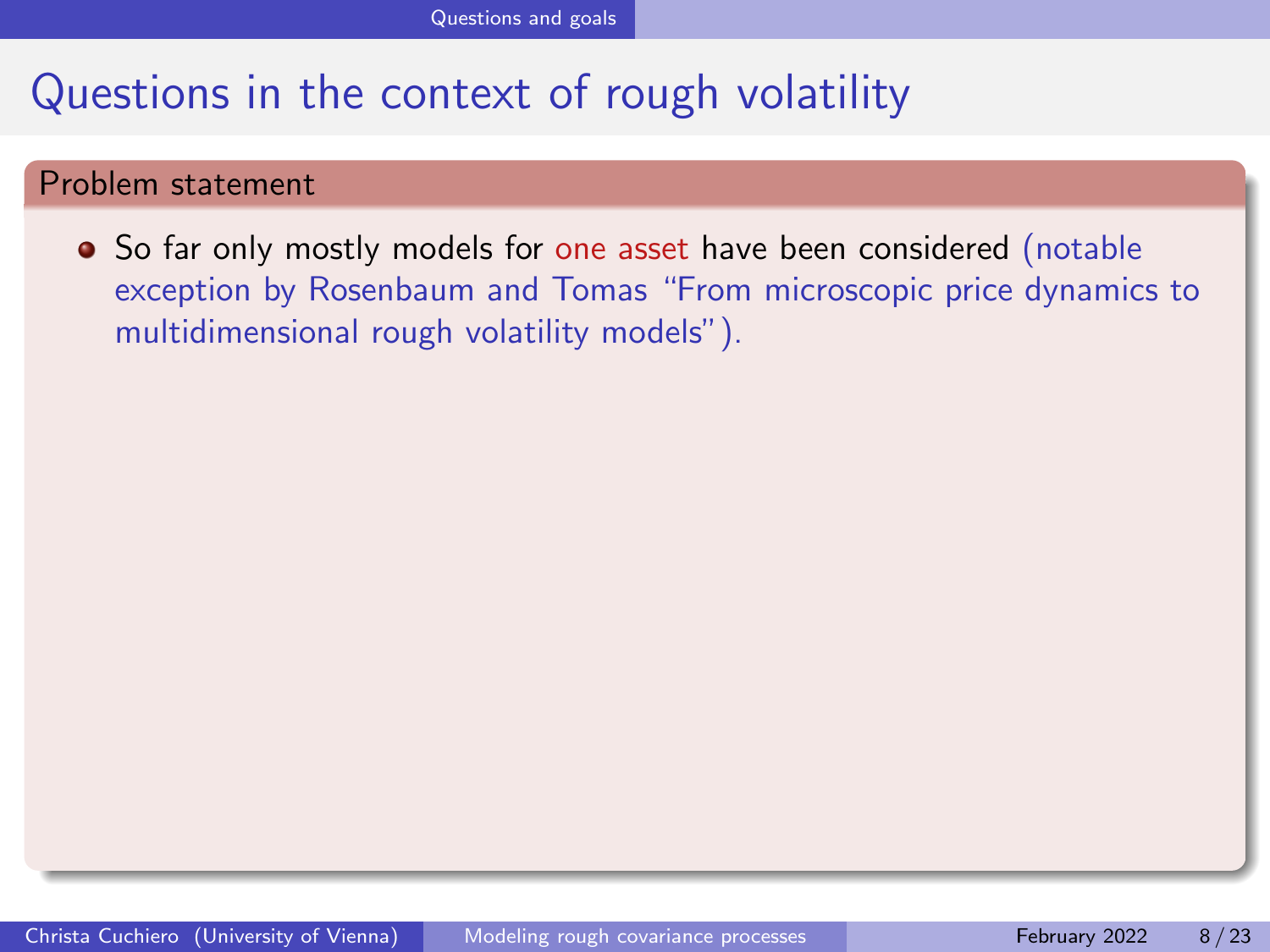#### <span id="page-21-0"></span>Problem statement

• So far only mostly models for one asset have been considered (notable exception by Rosenbaum and Tomas "From microscopic price dynamics to multidimensional rough volatility models").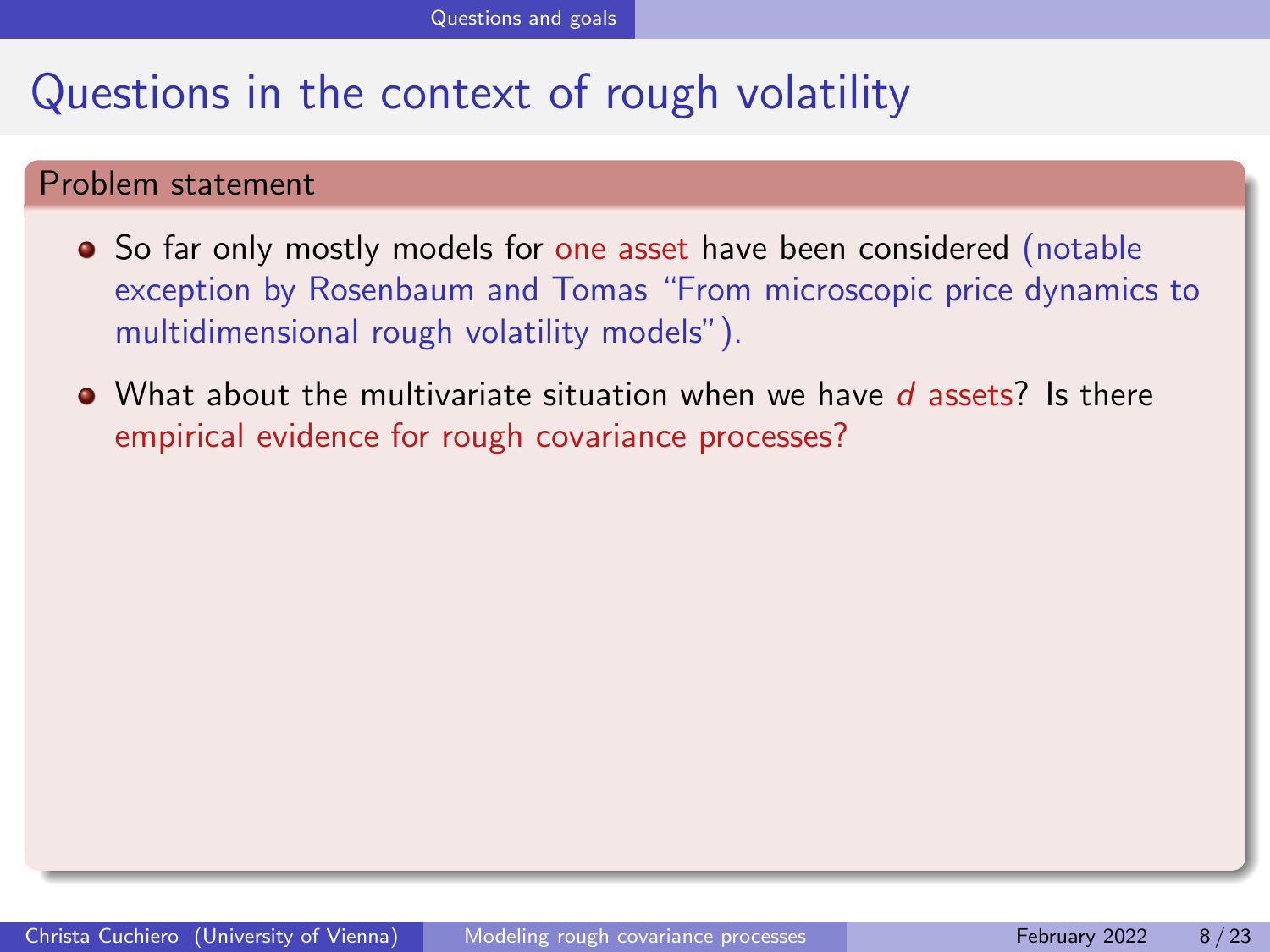#### Problem statement

- So far only mostly models for one asset have been considered (notable exception by Rosenbaum and Tomas "From microscopic price dynamics to multidimensional rough volatility models").
- $\bullet$  What about the multivariate situation when we have d assets? Is there empirical evidence for rough covariance processes?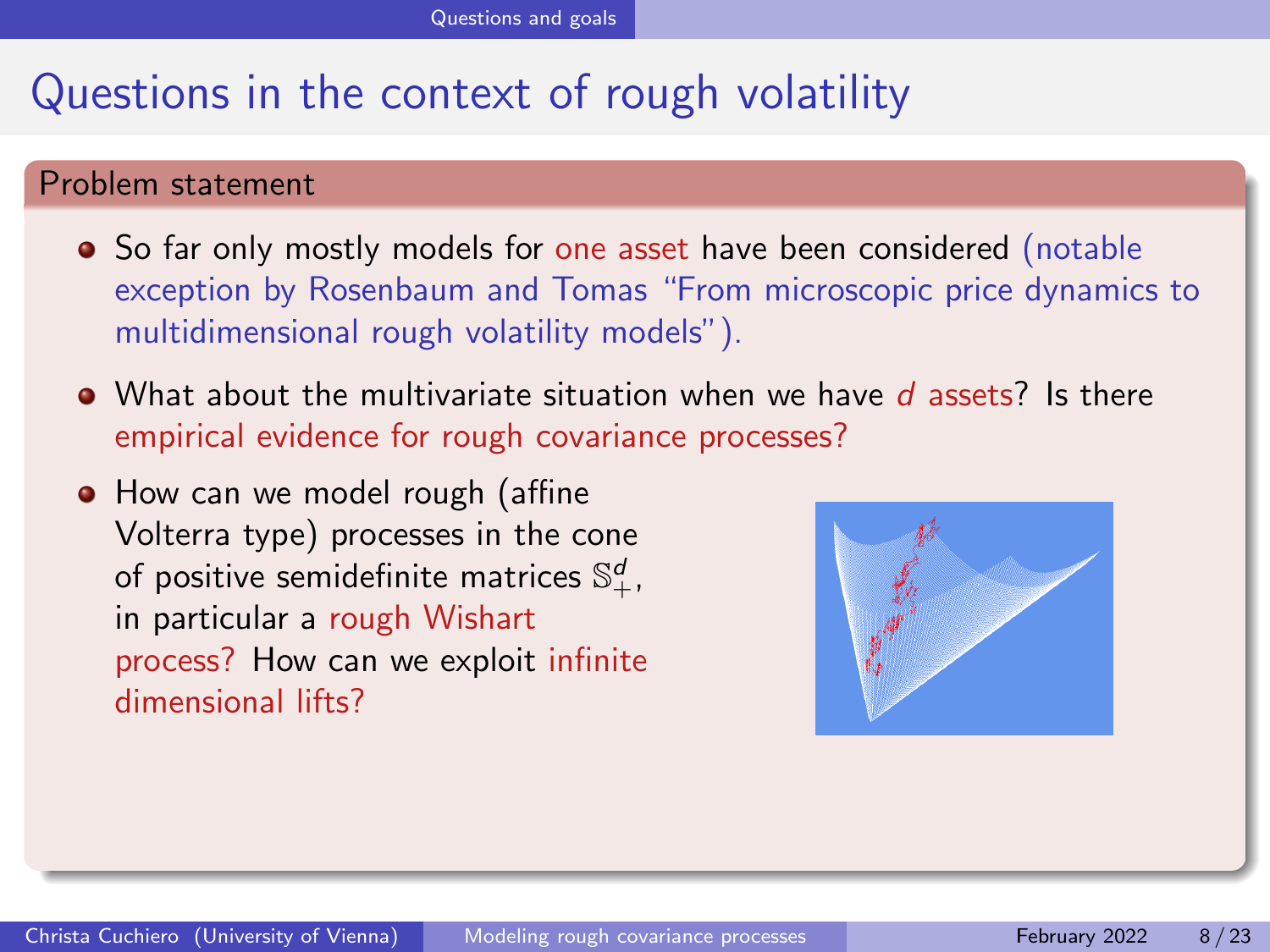#### Problem statement

- So far only mostly models for one asset have been considered (notable exception by Rosenbaum and Tomas "From microscopic price dynamics to multidimensional rough volatility models").
- $\bullet$  What about the multivariate situation when we have d assets? Is there empirical evidence for rough covariance processes?
- How can we model rough (affine Volterra type) processes in the cone of positive semidefinite matrices  $\mathbb{S}^d_+$ , in particular a rough Wishart process? How can we exploit infinite dimensional lifts?

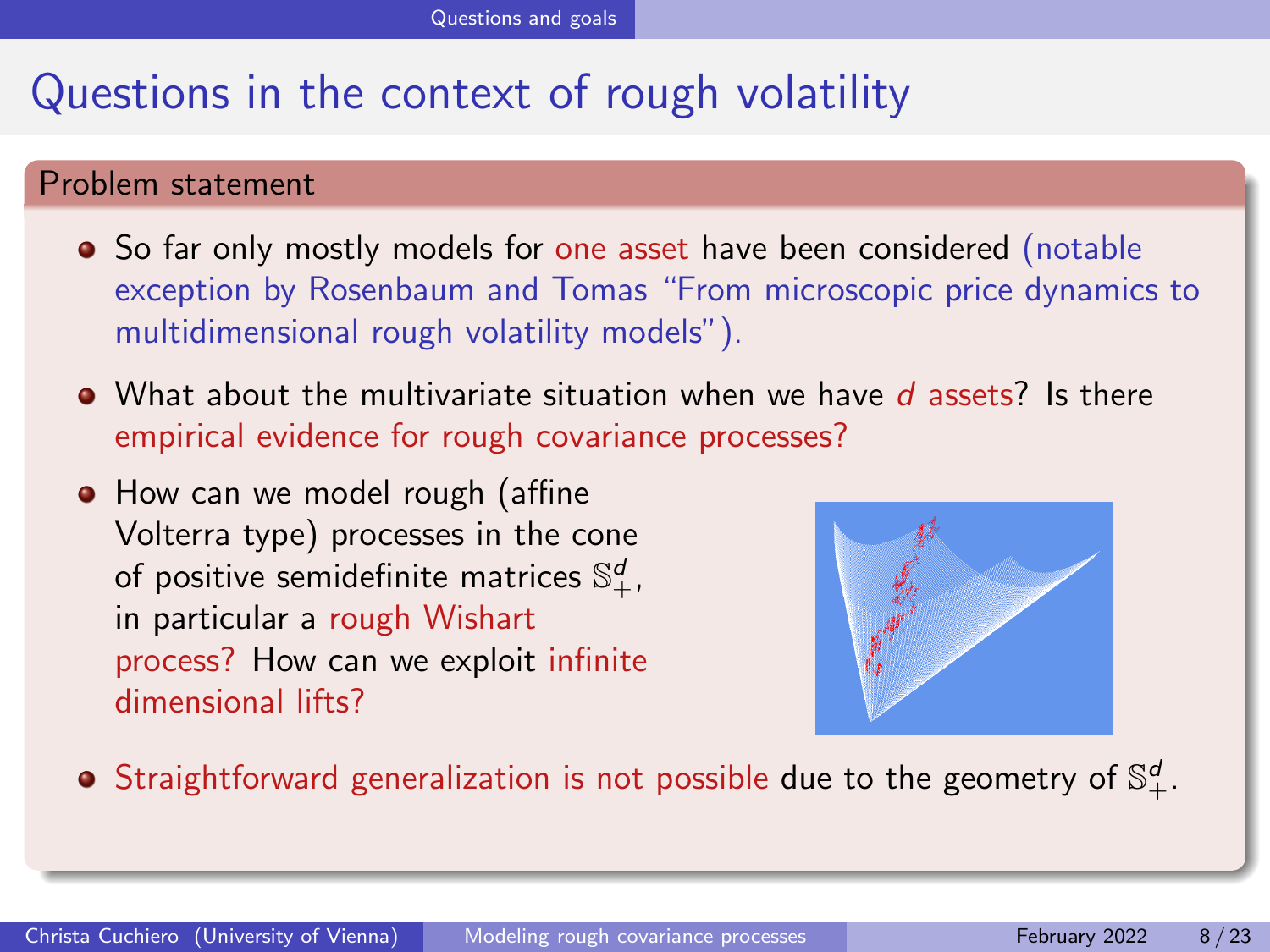#### Problem statement

- So far only mostly models for one asset have been considered (notable exception by Rosenbaum and Tomas "From microscopic price dynamics to multidimensional rough volatility models").
- $\bullet$  What about the multivariate situation when we have d assets? Is there empirical evidence for rough covariance processes?
- How can we model rough (affine Volterra type) processes in the cone of positive semidefinite matrices  $\mathbb{S}^d_+$ , in particular a rough Wishart process? How can we exploit infinite dimensional lifts?



Straightforward generalization is not possible due to the geometry of  $\mathbb{S}^d_+.$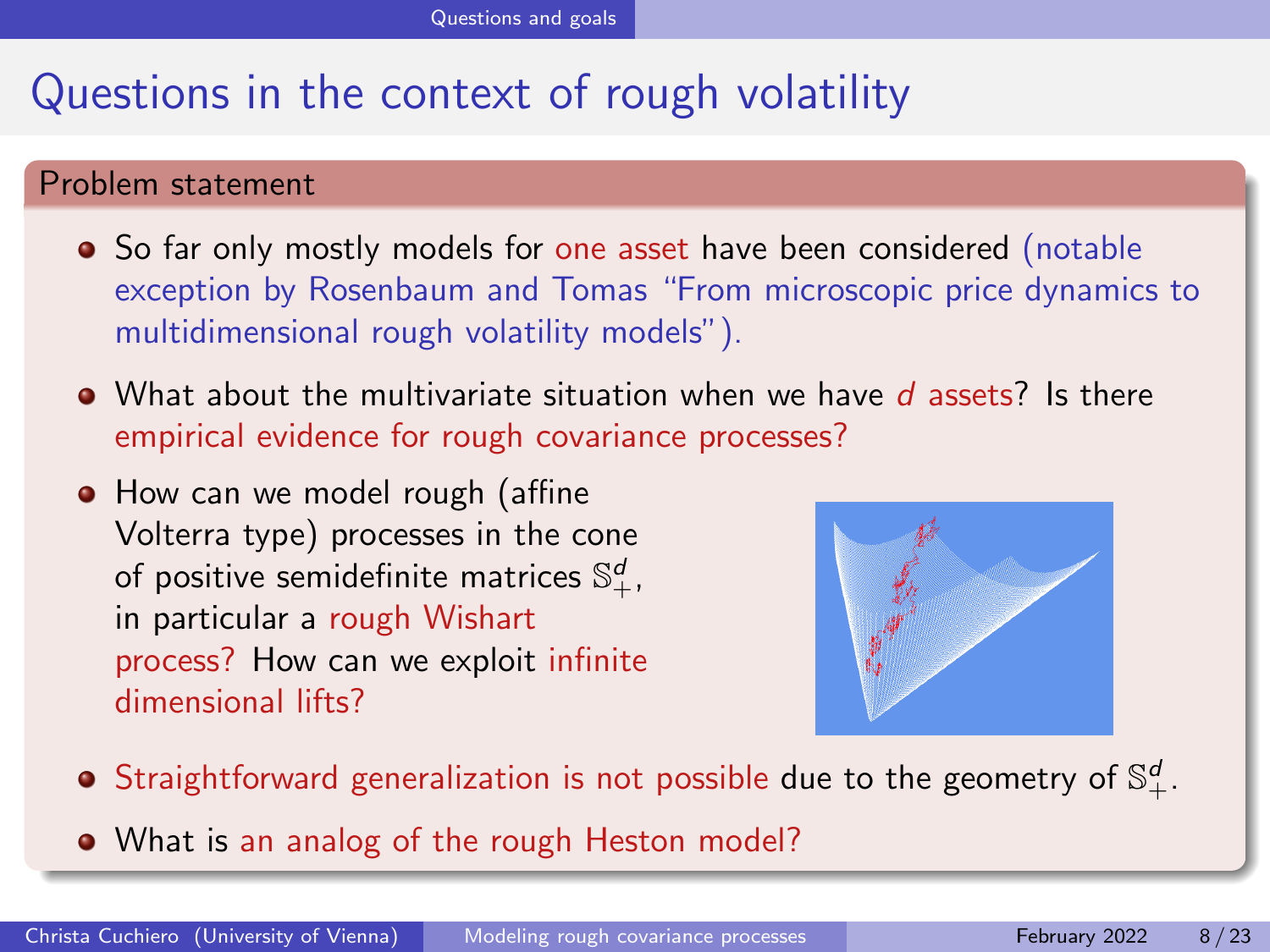#### Problem statement

- So far only mostly models for one asset have been considered (notable exception by Rosenbaum and Tomas "From microscopic price dynamics to multidimensional rough volatility models").
- $\bullet$  What about the multivariate situation when we have d assets? Is there empirical evidence for rough covariance processes?
- How can we model rough (affine Volterra type) processes in the cone of positive semidefinite matrices  $\mathbb{S}^d_+$ , in particular a rough Wishart process? How can we exploit infinite dimensional lifts?



- Straightforward generalization is not possible due to the geometry of  $\mathbb{S}^d_+.$
- What is an analog of the rough Heston model?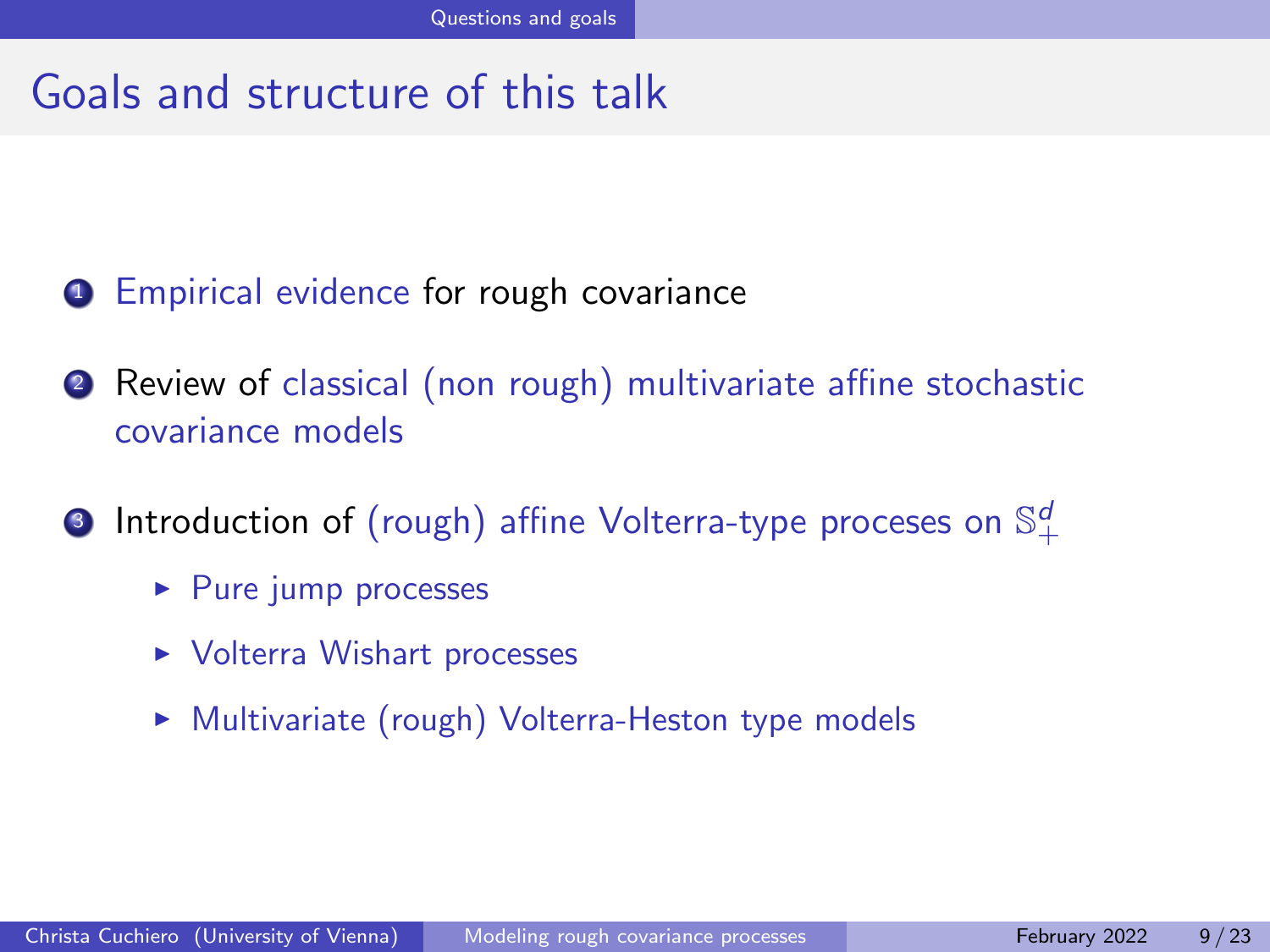#### Goals and structure of this talk

- **1** Empirical evidence for rough covariance
- <sup>2</sup> Review of classical (non rough) multivariate affine stochastic covariance models
- $\bullet$  Introduction of (rough) affine Volterra-type proceses on  $\mathbb{S}^d_+$ 
	- $\blacktriangleright$  Pure jump processes
	- ▶ Volterra Wishart processes
	- ▶ Multivariate (rough) Volterra-Heston type models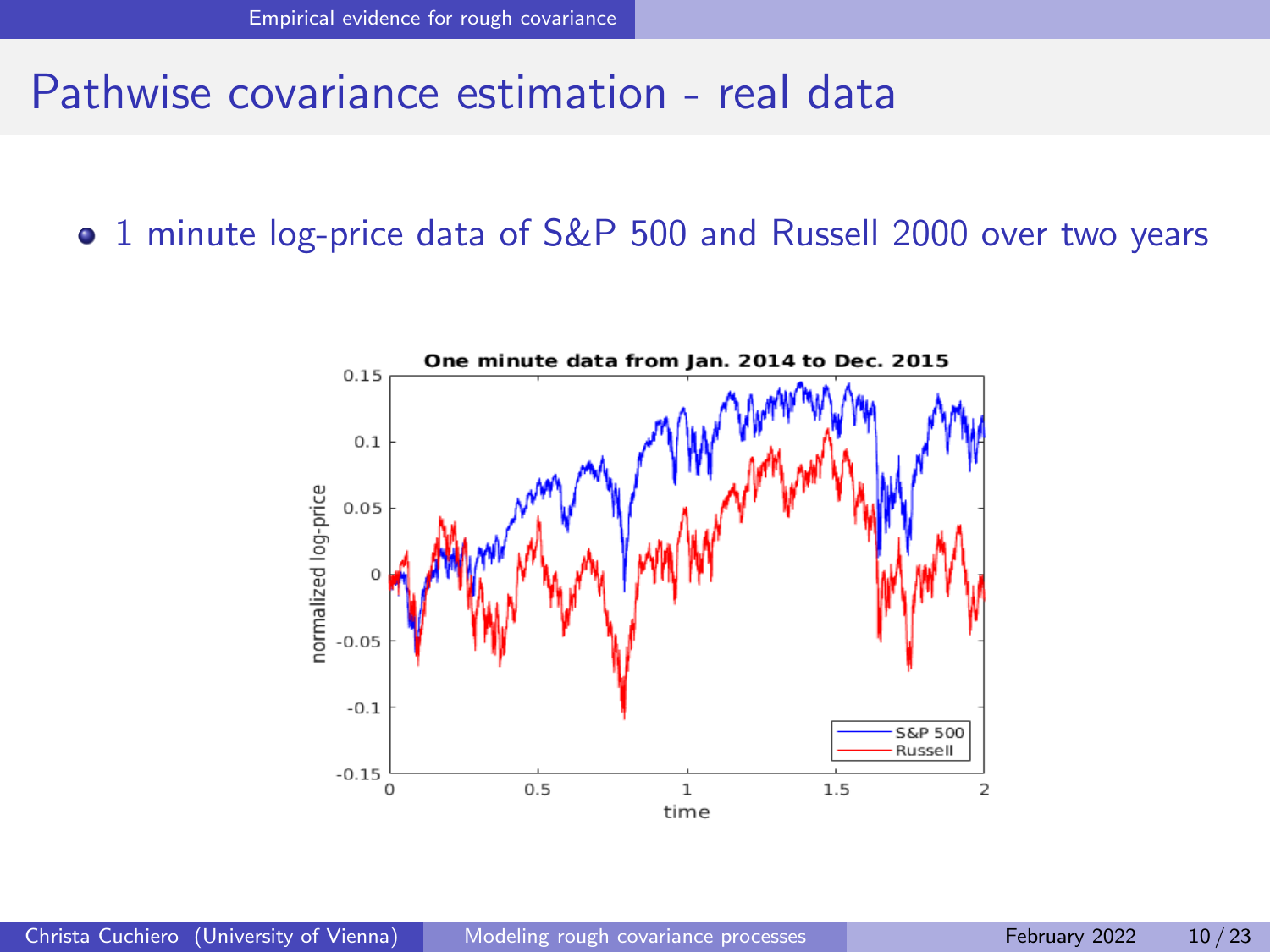#### <span id="page-27-0"></span>Pathwise covariance estimation - real data

**•** 1 minute log-price data of S&P 500 and Russell 2000 over two years

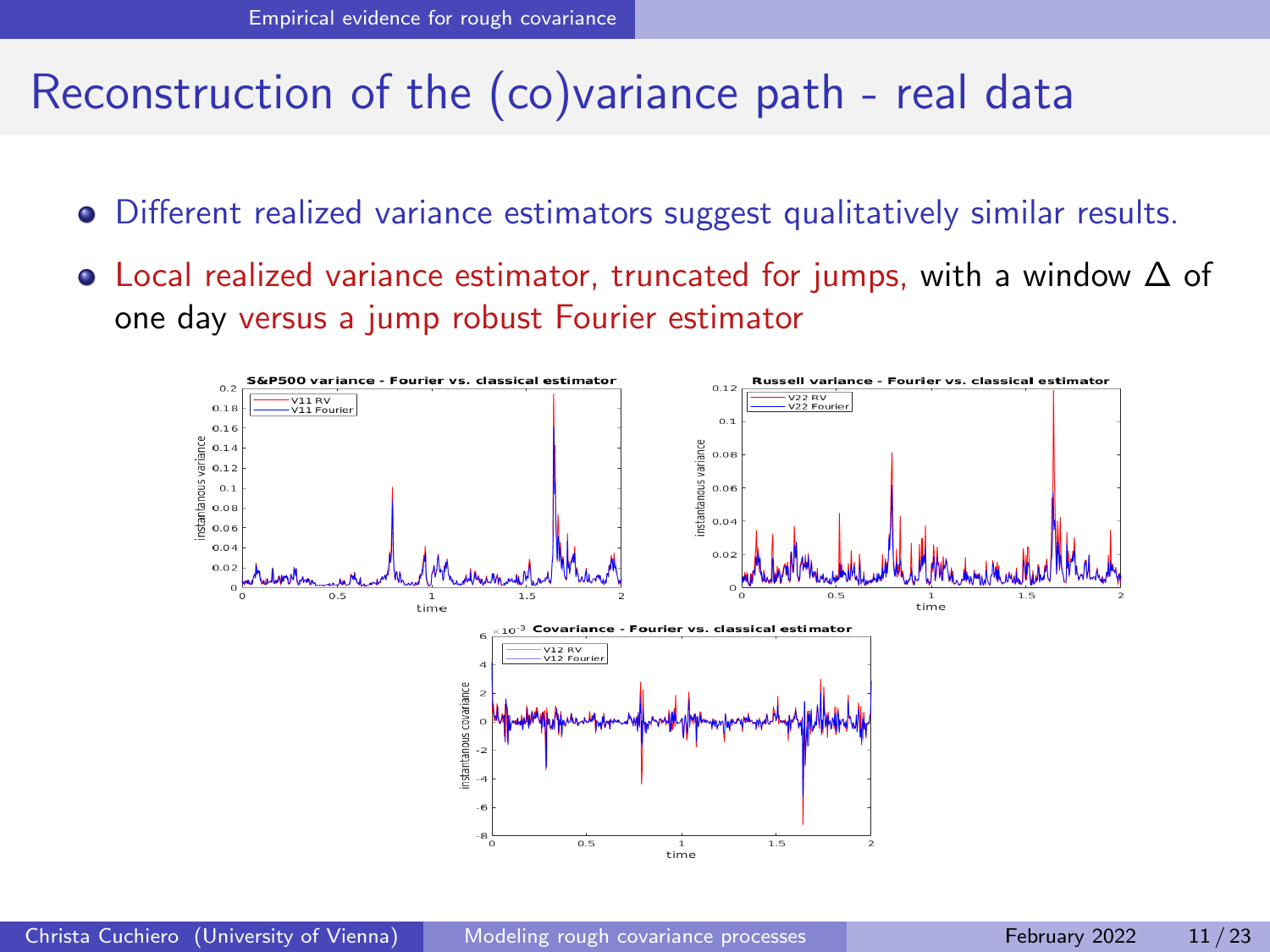# Reconstruction of the (co)variance path - real data

- Different realized variance estimators suggest qualitatively similar results.
- Local realized variance estimator, truncated for jumps, with a window ∆ of one day versus a jump robust Fourier estimator

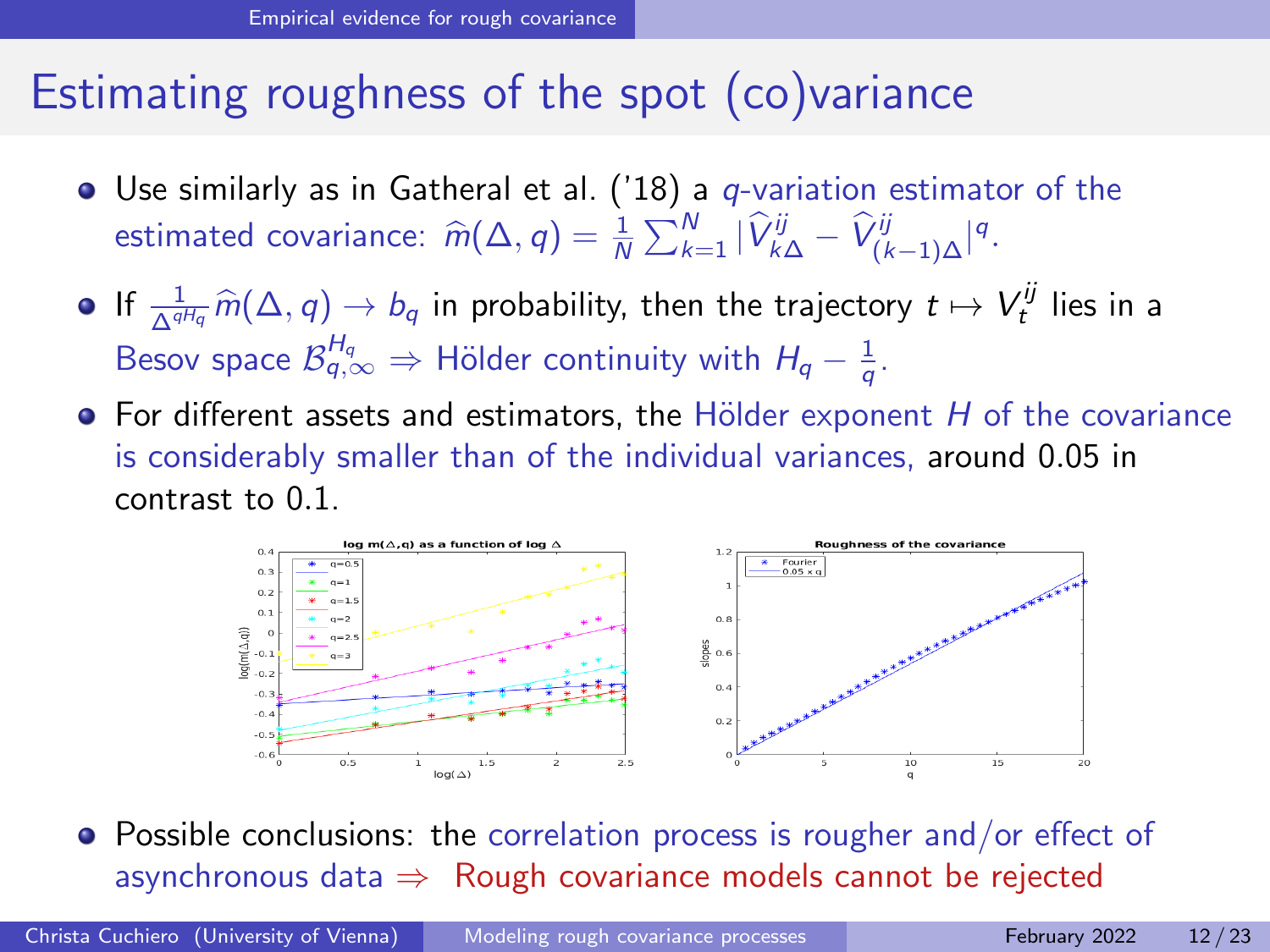### Estimating roughness of the spot (co)variance

- $\bullet$  Use similarly as in Gatheral et al. ('18) a q-variation estimator of the estimated covariance:  $\widehat{m}(\Delta, q) = \frac{1}{N} \sum_{k=1}^{N} |\widehat{V}_{k\Delta}^{ij} - \widehat{V}_{(k-1)\Delta}^{ij}|^{q}$ .
- If  $\frac{1}{\Delta^{qH_q}} \widehat{m}(\Delta, q) \to b_q$  in probability, then the trajectory  $t \mapsto V_t^{ij}$  lies in a Besov space  $\mathcal{B}^{H_q}_{q,\infty} \Rightarrow$  Hölder continuity with  $H_q - \frac{1}{q}$ .
- $\bullet$  For different assets and estimators, the Hölder exponent H of the covariance is considerably smaller than of the individual variances, around 0.05 in contrast to 0.1.



• Possible conclusions: the correlation process is rougher and/or effect of asynchronous data  $\Rightarrow$  Rough covariance models cannot be rejected

Christa Cuchiero (University of Vienna) [Modeling rough covariance processes](#page-0-0) February 2022 12/23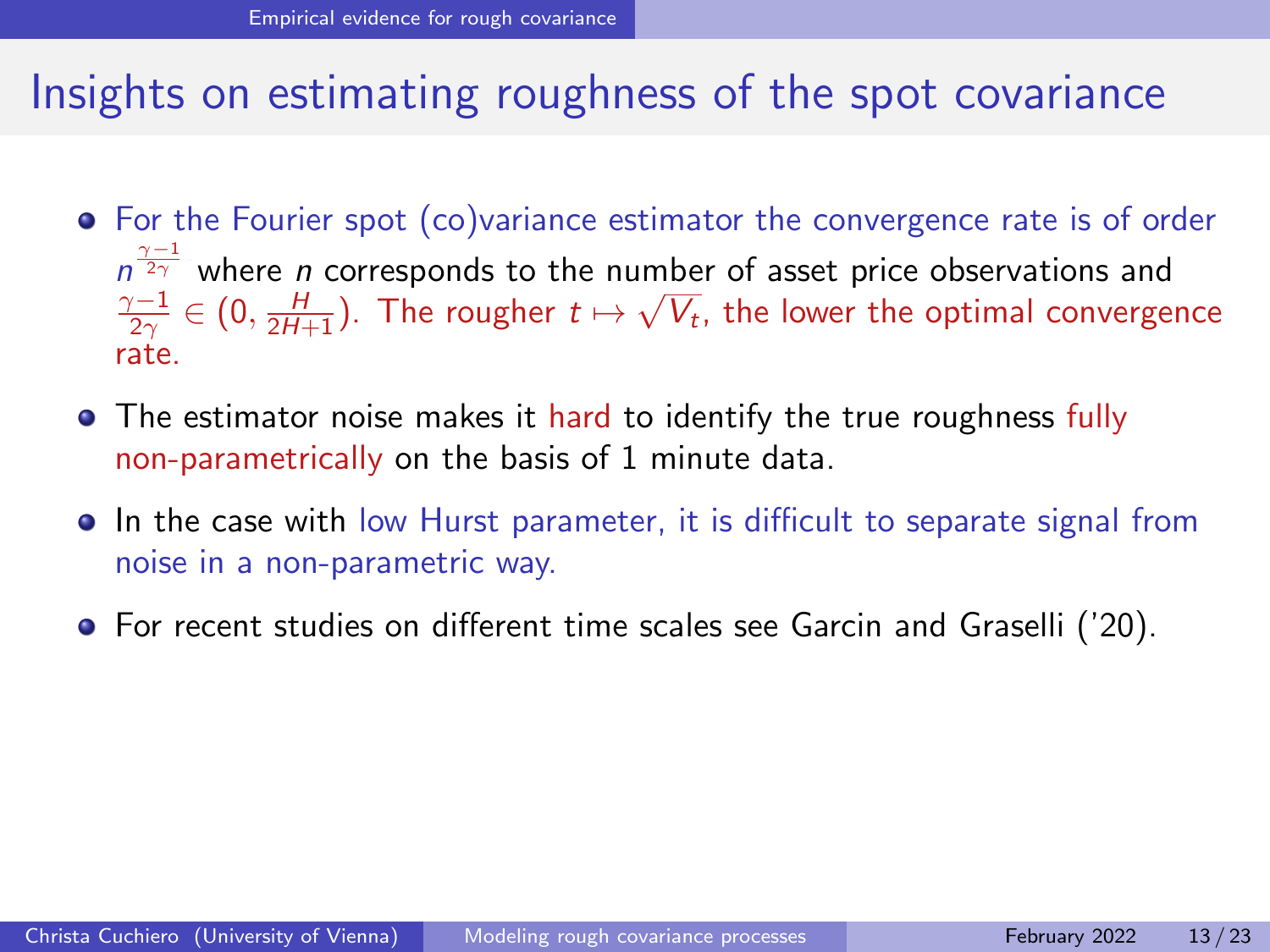### Insights on estimating roughness of the spot covariance

- For the Fourier spot (co)variance estimator the convergence rate is of order  $n^{\frac{\gamma-1}{2\gamma}}$  where *n* corresponds to the number of asset price observations and  $\frac{\gamma-1}{2\gamma}\in(0,\frac{H}{2H+1}).$  The rougher  $t\mapsto \sqrt{V_t}$ , the lower the optimal convergence rate.
- The estimator noise makes it hard to identify the true roughness fully non-parametrically on the basis of 1 minute data.
- In the case with low Hurst parameter, it is difficult to separate signal from noise in a non-parametric way.
- For recent studies on different time scales see Garcin and Graselli ('20).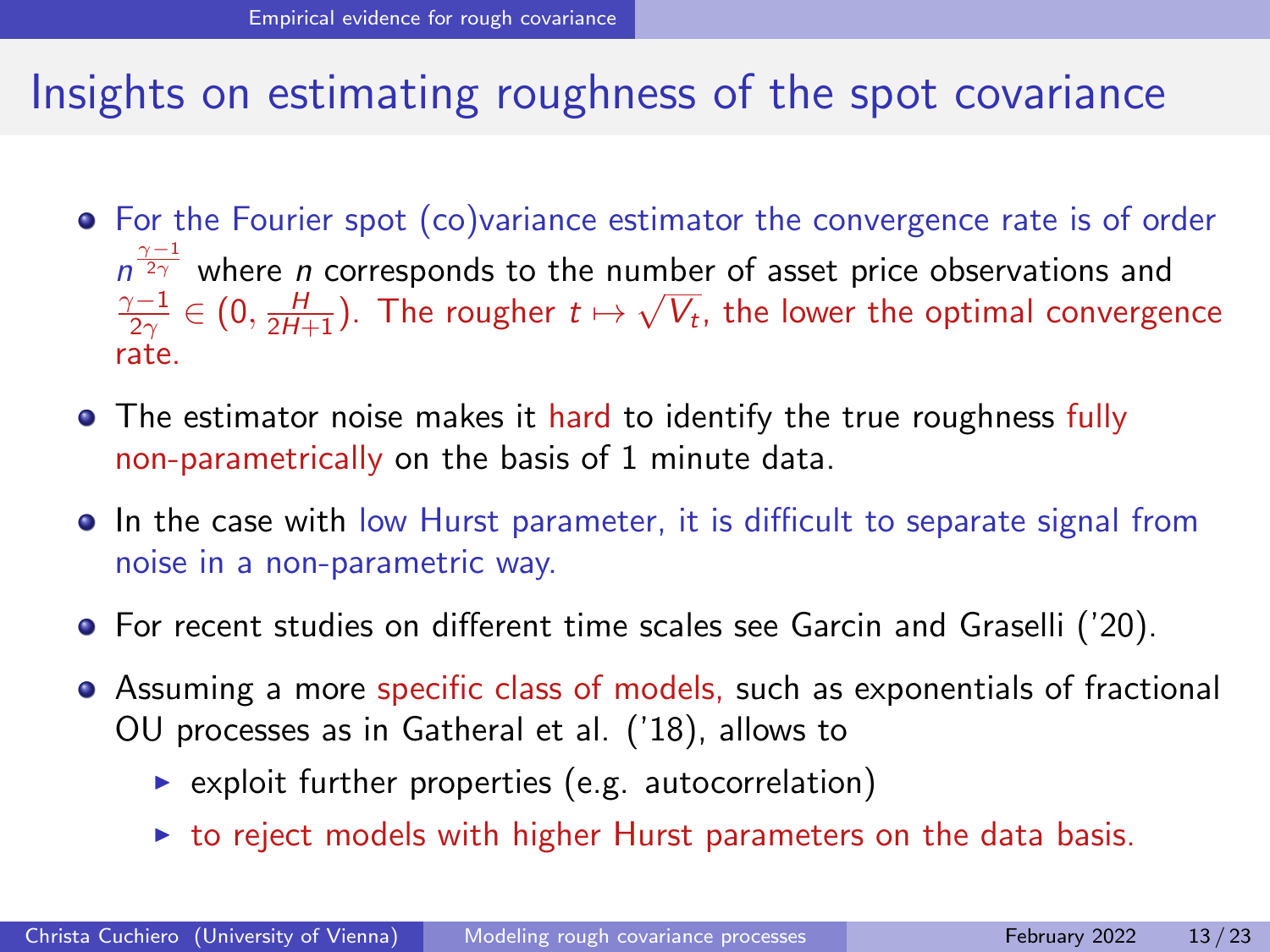### Insights on estimating roughness of the spot covariance

- For the Fourier spot (co)variance estimator the convergence rate is of order  $n^{\frac{\gamma-1}{2\gamma}}$  where *n* corresponds to the number of asset price observations and  $\frac{\gamma-1}{2\gamma}\in(0,\frac{H}{2H+1}).$  The rougher  $t\mapsto \sqrt{V_t}$ , the lower the optimal convergence rate.
- The estimator noise makes it hard to identify the true roughness fully non-parametrically on the basis of 1 minute data.
- In the case with low Hurst parameter, it is difficult to separate signal from noise in a non-parametric way.
- **•** For recent studies on different time scales see Garcin and Graselli ('20).
- Assuming a more specific class of models, such as exponentials of fractional OU processes as in Gatheral et al. ('18), allows to
	- $\triangleright$  exploit further properties (e.g. autocorrelation)
	- $\triangleright$  to reject models with higher Hurst parameters on the data basis.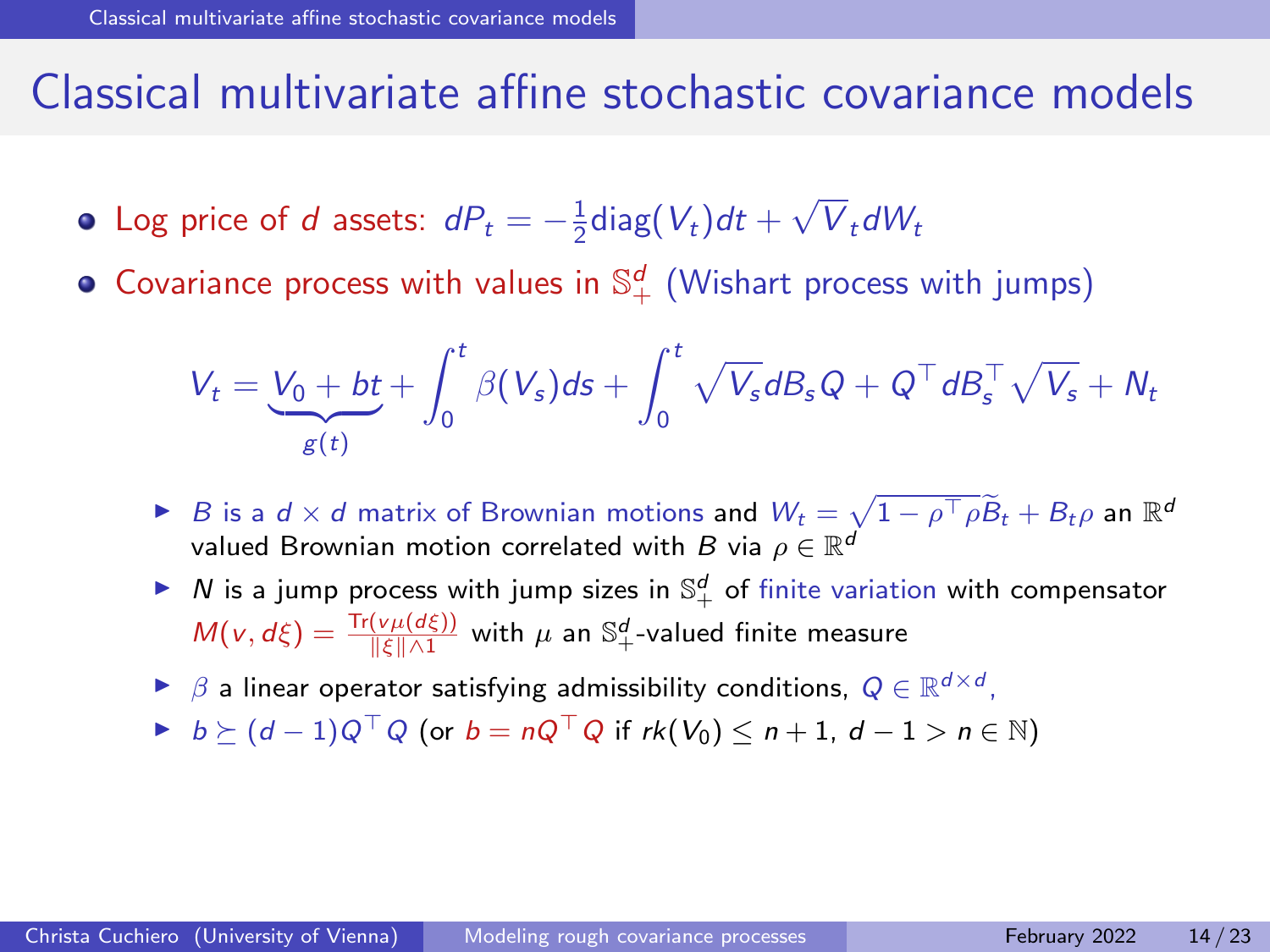#### <span id="page-32-0"></span>Classical multivariate affine stochastic covariance models

- Log price of d assets:  $dP_t = -\frac{1}{2} \text{diag}(V_t) dt +$ √  $V_t dW_t$
- Covariance process with values in  $\mathbb{S}^{d}_{+}$  (Wishart process with jumps)

$$
V_t = \underbrace{V_0 + bt}_{g(t)} + \int_0^t \beta(V_s) ds + \int_0^t \sqrt{V_s} dB_s Q + Q^\top dB_s^\top \sqrt{V_s} + N_t
$$

- **►** B is a d × d matrix of Brownian motions and  $W_t = \sqrt{1 \rho^{\top} \rho} \widetilde{B}_t + B_t \rho$  an  $\mathbb{R}^d$ valued Brownian motion correlated with B via  $\rho \in \mathbb{R}^d$
- $\blacktriangleright$   $N$  is a jump process with jump sizes in  $\mathbb{S}^d_+$  of finite variation with compensator  $M(v,d\xi)=\frac{\text{Tr}(v\mu(d\xi))}{\|\xi\|\wedge 1}$  with  $\mu$  an  $\mathbb{S}^d_+$ -valued finite measure
- ►  $\beta$  a linear operator satisfying admissibility conditions,  $Q \in \mathbb{R}^{d \times d}$ ,
- $\blacktriangleright$  b >  $(d-1)Q^{\top}Q$  (or  $b = nQ^{\top}Q$  if rk $(V_0) \leq n+1$ ,  $d-1 > n \in \mathbb{N}$ )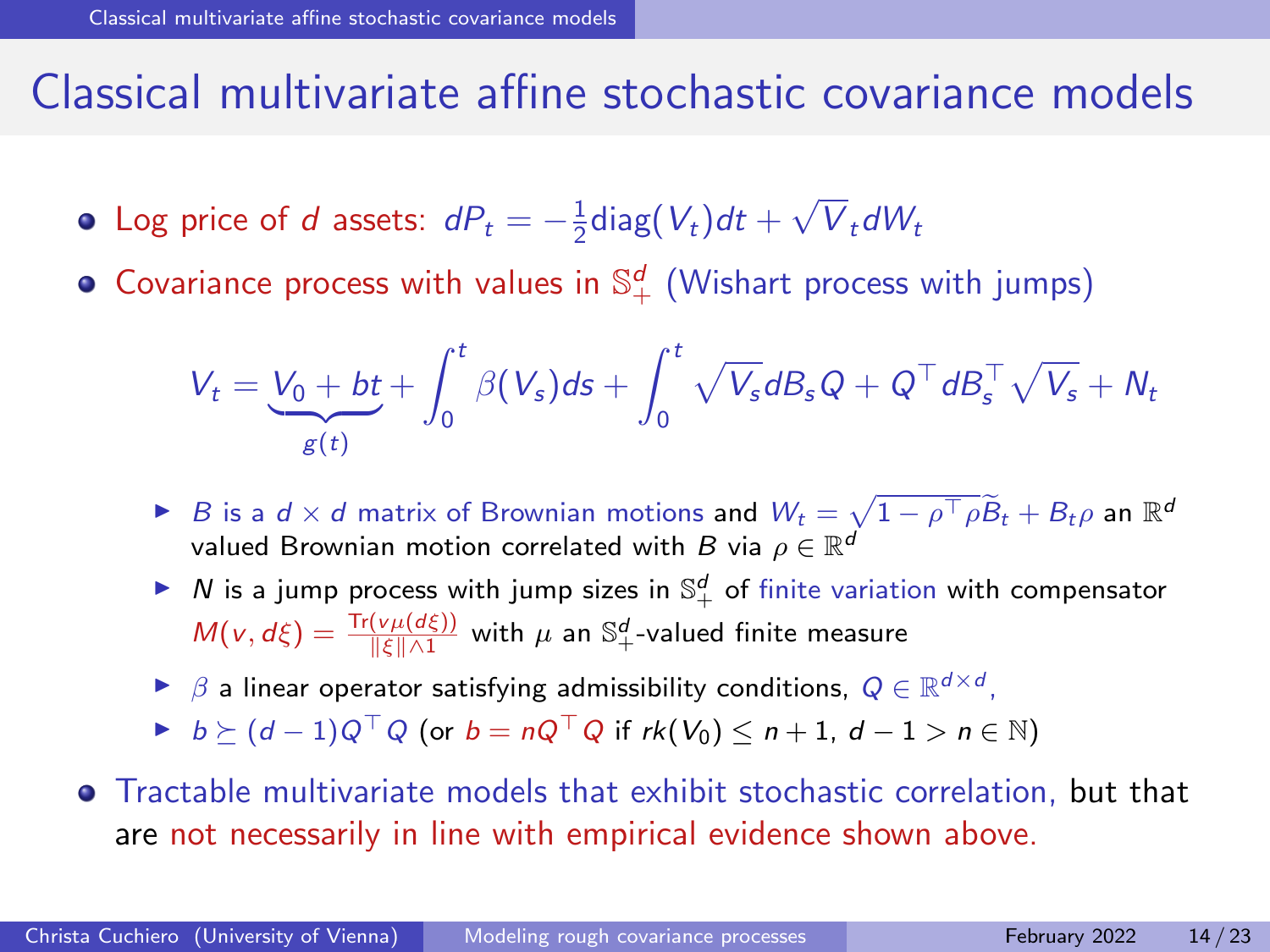#### Classical multivariate affine stochastic covariance models

- Log price of d assets:  $dP_t = -\frac{1}{2} \text{diag}(V_t) dt +$ √  $V_t dW_t$
- Covariance process with values in  $\mathbb{S}^{d}_{+}$  (Wishart process with jumps)

$$
V_t = \underbrace{V_0 + bt}_{g(t)} + \int_0^t \beta(V_s) ds + \int_0^t \sqrt{V_s} dB_s Q + Q^\top dB_s^\top \sqrt{V_s} + N_t
$$

- **►** B is a d × d matrix of Brownian motions and  $W_t = \sqrt{1 \rho^{\top} \rho} \widetilde{B}_t + B_t \rho$  an  $\mathbb{R}^d$ valued Brownian motion correlated with B via  $\rho \in \mathbb{R}^d$
- $\blacktriangleright$   $N$  is a jump process with jump sizes in  $\mathbb{S}^d_+$  of finite variation with compensator  $M(v,d\xi)=\frac{\text{Tr}(v\mu(d\xi))}{\|\xi\|\wedge 1}$  with  $\mu$  an  $\mathbb{S}^d_+$ -valued finite measure
- ►  $\beta$  a linear operator satisfying admissibility conditions,  $Q \in \mathbb{R}^{d \times d}$ ,
- $\blacktriangleright$  b >  $(d-1)Q^{\top}Q$  (or  $b = nQ^{\top}Q$  if rk $(V_0) \leq n+1$ ,  $d-1 > n \in \mathbb{N}$ )
- Tractable multivariate models that exhibit stochastic correlation, but that are not necessarily in line with empirical evidence shown above.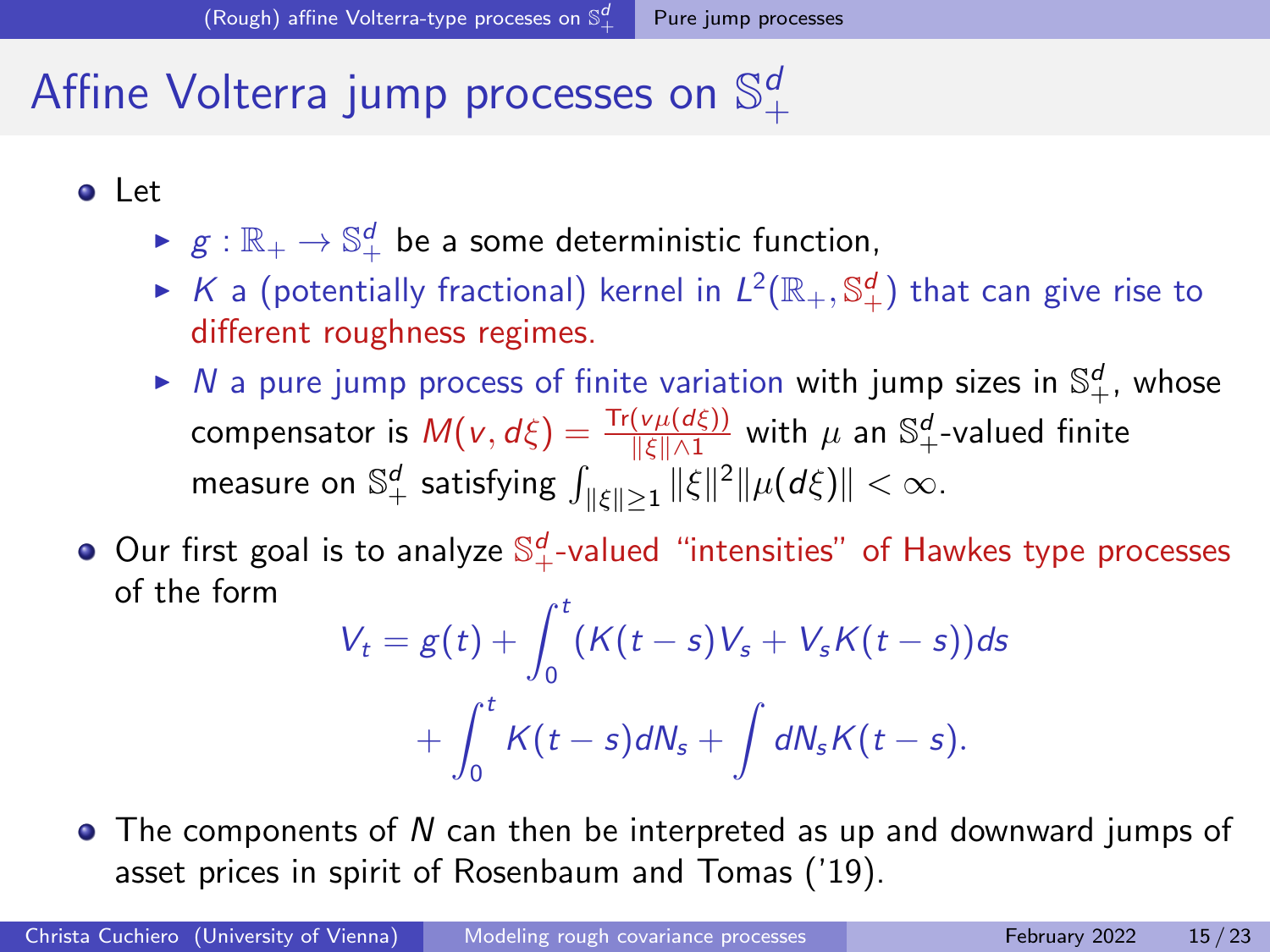#### [Pure jump processes](#page-34-0)

#### <span id="page-34-0"></span>Affine Volterra jump processes on  $\mathbb{S}^d_+$  $+$

- Let
	- $\blacktriangleright$   $g:\mathbb{R}_+\to\mathbb{S}^d_+$  be a some deterministic function,
	- $\blacktriangleright$  K a (potentially fractional) kernel in  $L^2(\mathbb{R}_+,\mathbb{S}^d_+)$  that can give rise to different roughness regimes.
	- $\blacktriangleright$  N a pure jump process of finite variation with jump sizes in  $\mathbb{S}^d_+$ , whose compensator is  $M(v,d\xi)=\frac{\text{Tr}(v\mu(d\xi))}{\|\xi\|\wedge 1}$  with  $\mu$  an  $\mathbb{S}^d_+$ -valued finite measure on  $\mathbb{S}^d_+$  satisfying  $\int_{\|\xi\| \geq 1} \|\xi\|^2 \|\mu(d\xi)\| < \infty.$
- Our first goal is to analyze  $\mathbb{S}^d_+$ -valued "intensities" of Hawkes type processes of the form

$$
V_t = g(t) + \int_0^t (K(t-s)V_s + V_sK(t-s))ds
$$
  
+ 
$$
\int_0^t K(t-s)dN_s + \int dN_sK(t-s).
$$

 $\bullet$  The components of N can then be interpreted as up and downward jumps of asset prices in spirit of Rosenbaum and Tomas ('19).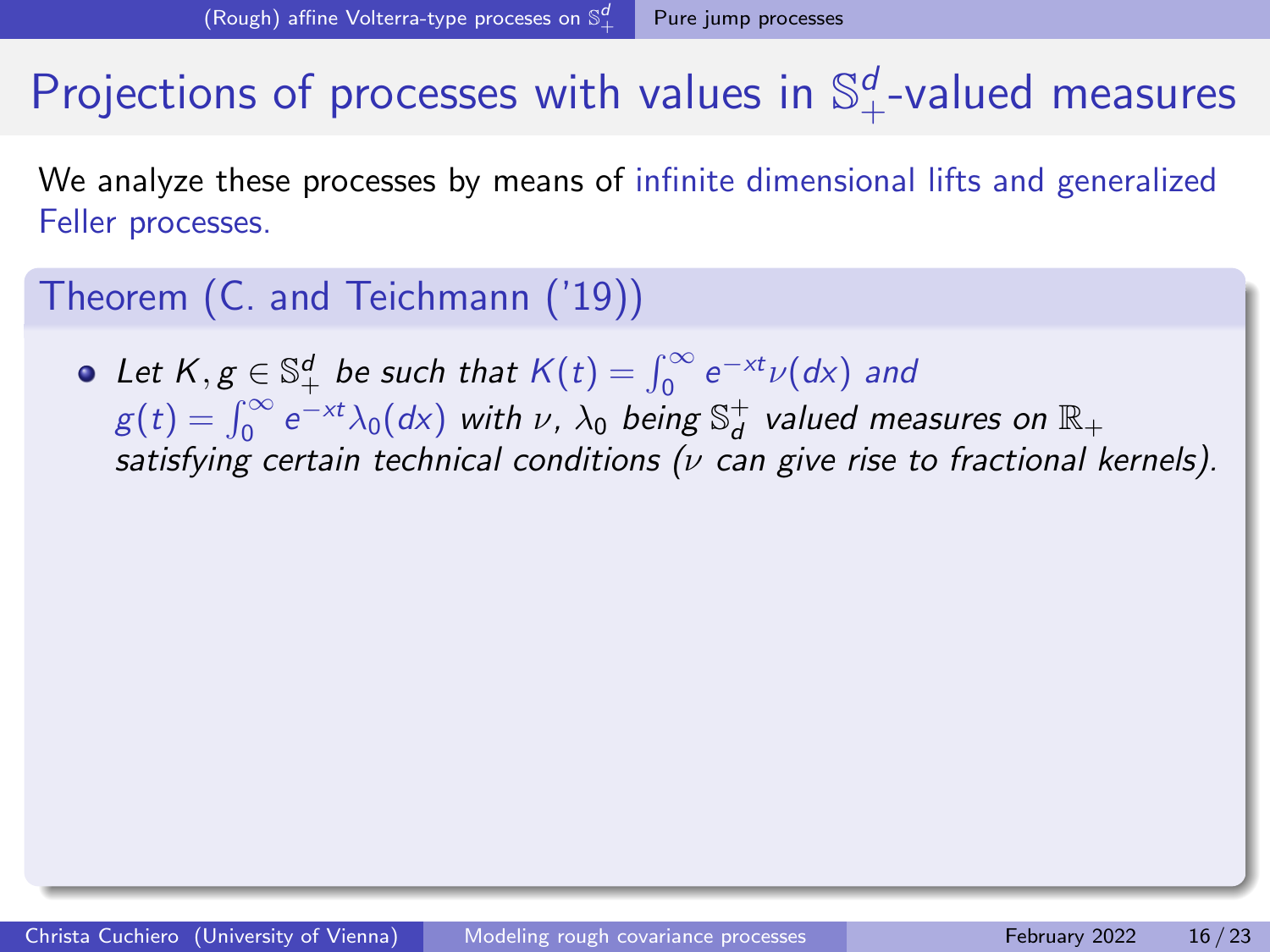# Projections of processes with values in  $\mathbb{S}^d_+$ -valued measures

We analyze these processes by means of infinite dimensional lifts and generalized Feller processes.

#### Theorem (C. and Teichmann ('19))

Let  $K, g \in \mathbb{S}_+^d$  be such that  $K(t) = \int_0^\infty e^{-xt} \nu(dx)$  and  $g(t) = \int_0^\infty e^{-xt} \lambda_0(dx)$  with  $\nu$ ,  $\lambda_0$  being  $\mathbb{S}^+_d$  valued measures on  $\mathbb{R}_+$ satisfying certain technical conditions ( $\nu$  can give rise to fractional kernels).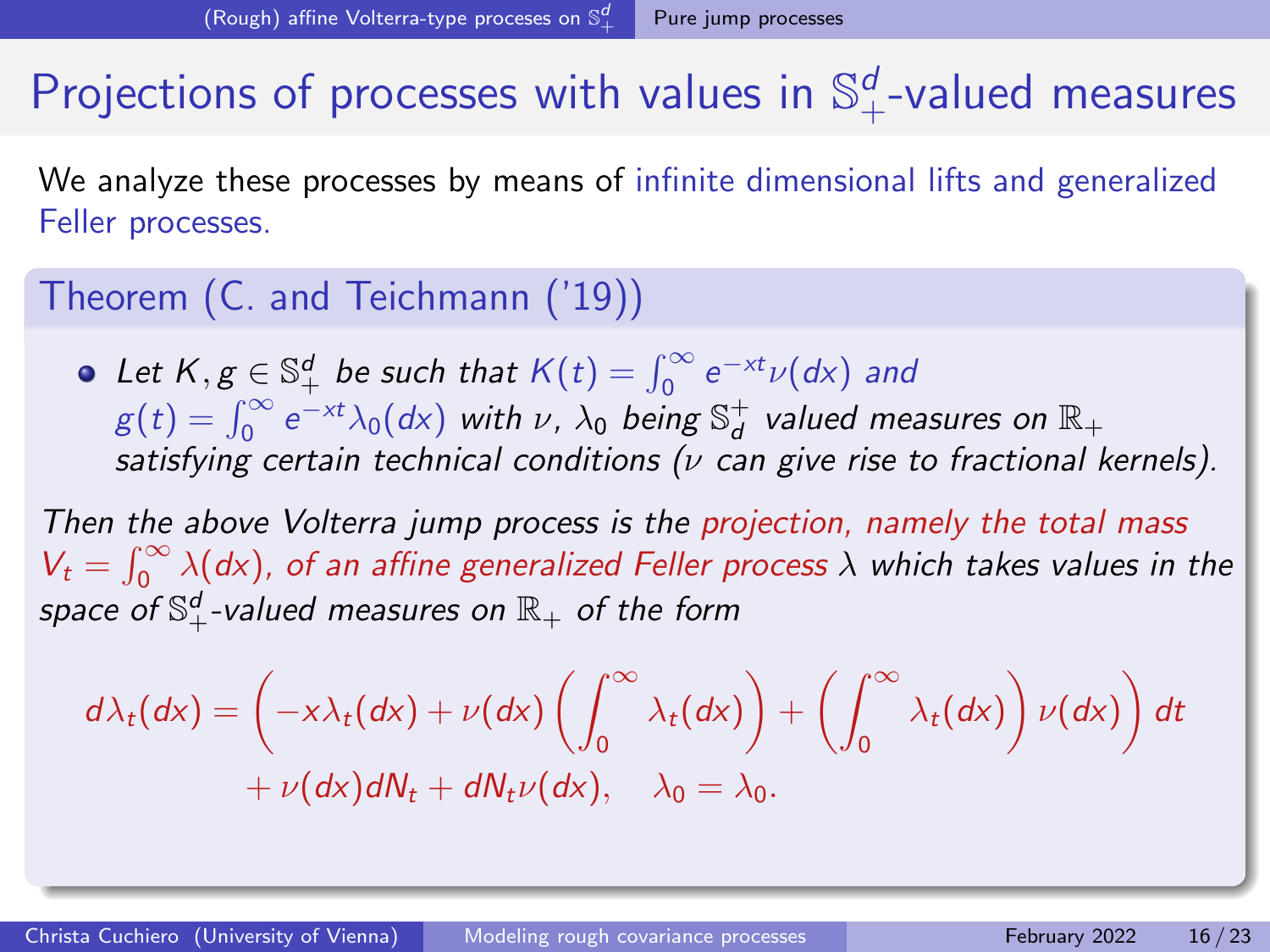# Projections of processes with values in  $\mathbb{S}^d_+$ -valued measures

We analyze these processes by means of infinite dimensional lifts and generalized Feller processes.

#### Theorem (C. and Teichmann ('19))

Let  $K, g \in \mathbb{S}_+^d$  be such that  $K(t) = \int_0^\infty e^{-xt} \nu(dx)$  and  $g(t) = \int_0^\infty e^{-xt} \lambda_0(dx)$  with  $\nu$ ,  $\lambda_0$  being  $\mathbb{S}^+_d$  valued measures on  $\mathbb{R}_+$ satisfying certain technical conditions ( $\nu$  can give rise to fractional kernels).

Then the above Volterra jump process is the projection, namely the total mass  $V_t = \int_0^\infty \lambda(dx)$ , of an affine generalized Feller process  $\lambda$  which takes values in the space of  $\mathbb{S}^d_+$ -valued measures on  $\mathbb{R}_+$  of the form

$$
d\lambda_t(dx) = \left(-x\lambda_t(dx) + \nu(dx)\left(\int_0^\infty \lambda_t(dx)\right) + \left(\int_0^\infty \lambda_t(dx)\right)\nu(dx)\right)dt
$$
  
+  $\nu(dx)dN_t + dN_t\nu(dx), \quad \lambda_0 = \lambda_0.$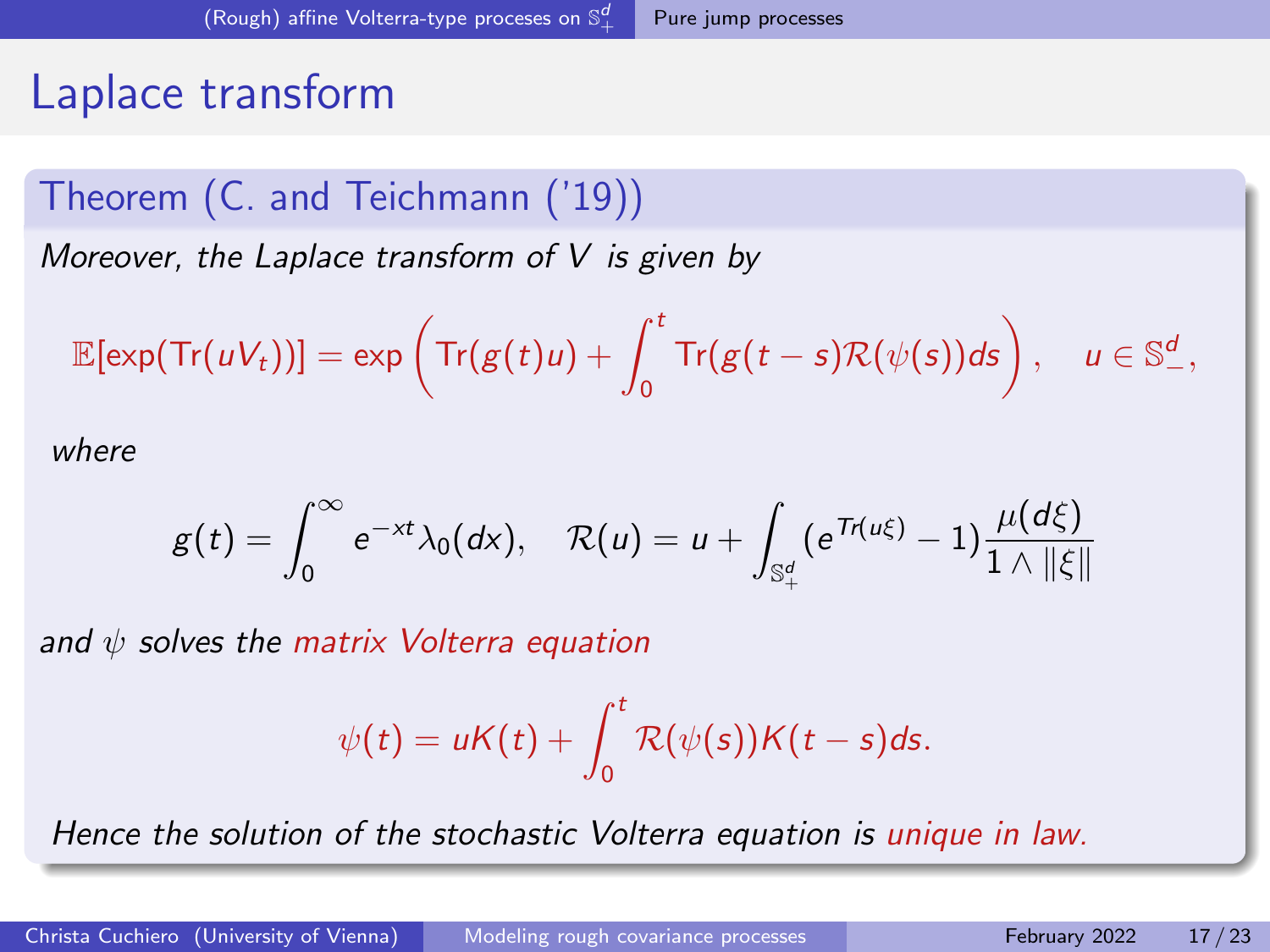### Laplace transform

#### Theorem (C. and Teichmann ('19))

Moreover, the Laplace transform of  $V$  is given by

$$
\mathbb{E}[\exp(\text{Tr}(uV_t))] = \exp\left(\text{Tr}(g(t)u) + \int_0^t \text{Tr}(g(t-s)\mathcal{R}(\psi(s))ds\right), \quad u \in \mathbb{S}^d_-,
$$

where

$$
g(t)=\int_0^\infty e^{-xt}\lambda_0(dx), \quad \mathcal{R}(u)=u+\int_{\mathbb{S}_+^d}(e^{Tr(u\xi)}-1)\frac{\mu(d\xi)}{1\wedge\|\xi\|}
$$

and  $\psi$  solves the matrix Volterra equation

$$
\psi(t) = uK(t) + \int_0^t \mathcal{R}(\psi(s))K(t-s)ds.
$$

Hence the solution of the stochastic Volterra equation is unique in law.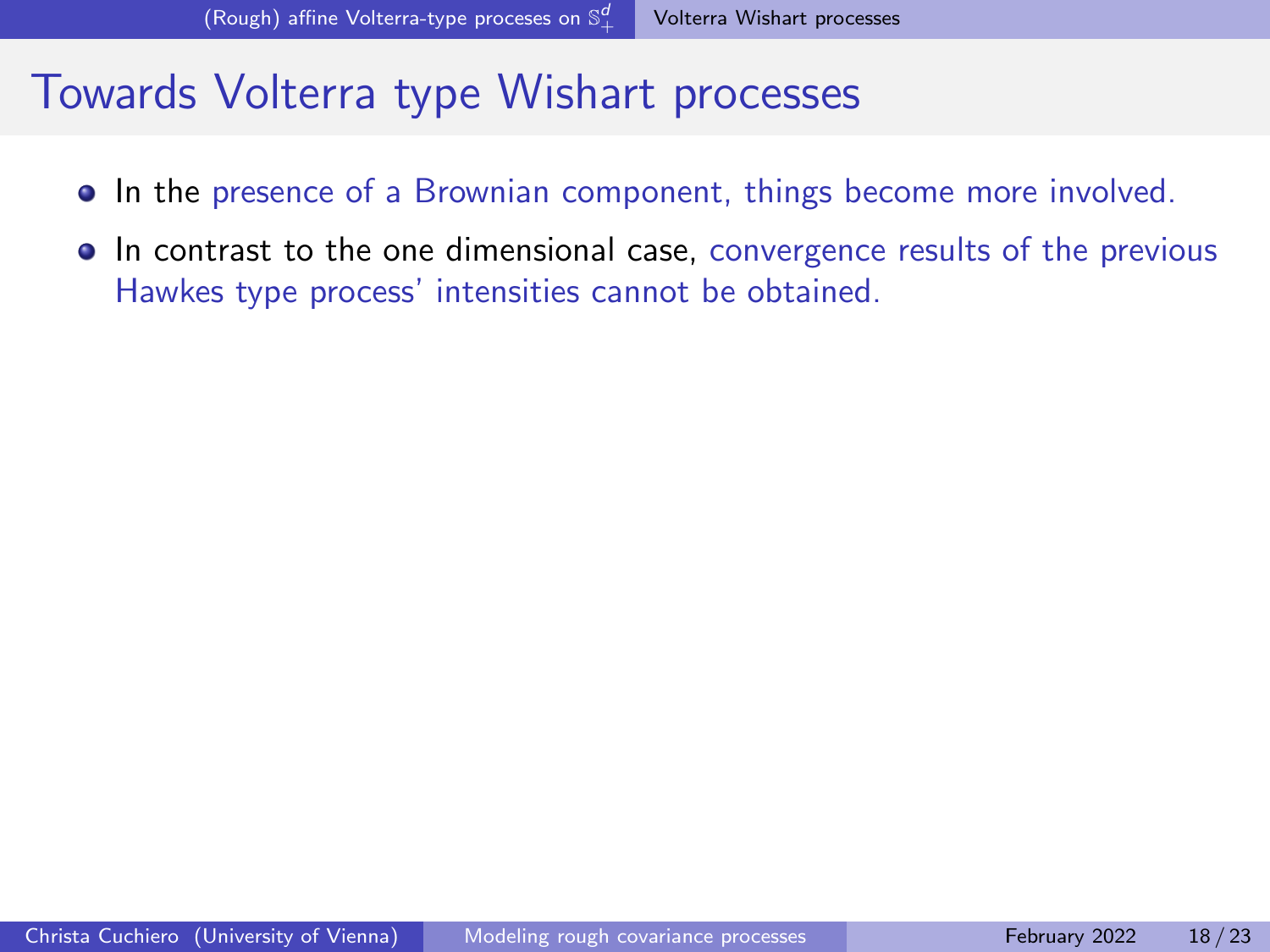#### <span id="page-38-0"></span>Towards Volterra type Wishart processes

- In the presence of a Brownian component, things become more involved.
- **In contrast to the one dimensional case, convergence results of the previous** Hawkes type process' intensities cannot be obtained.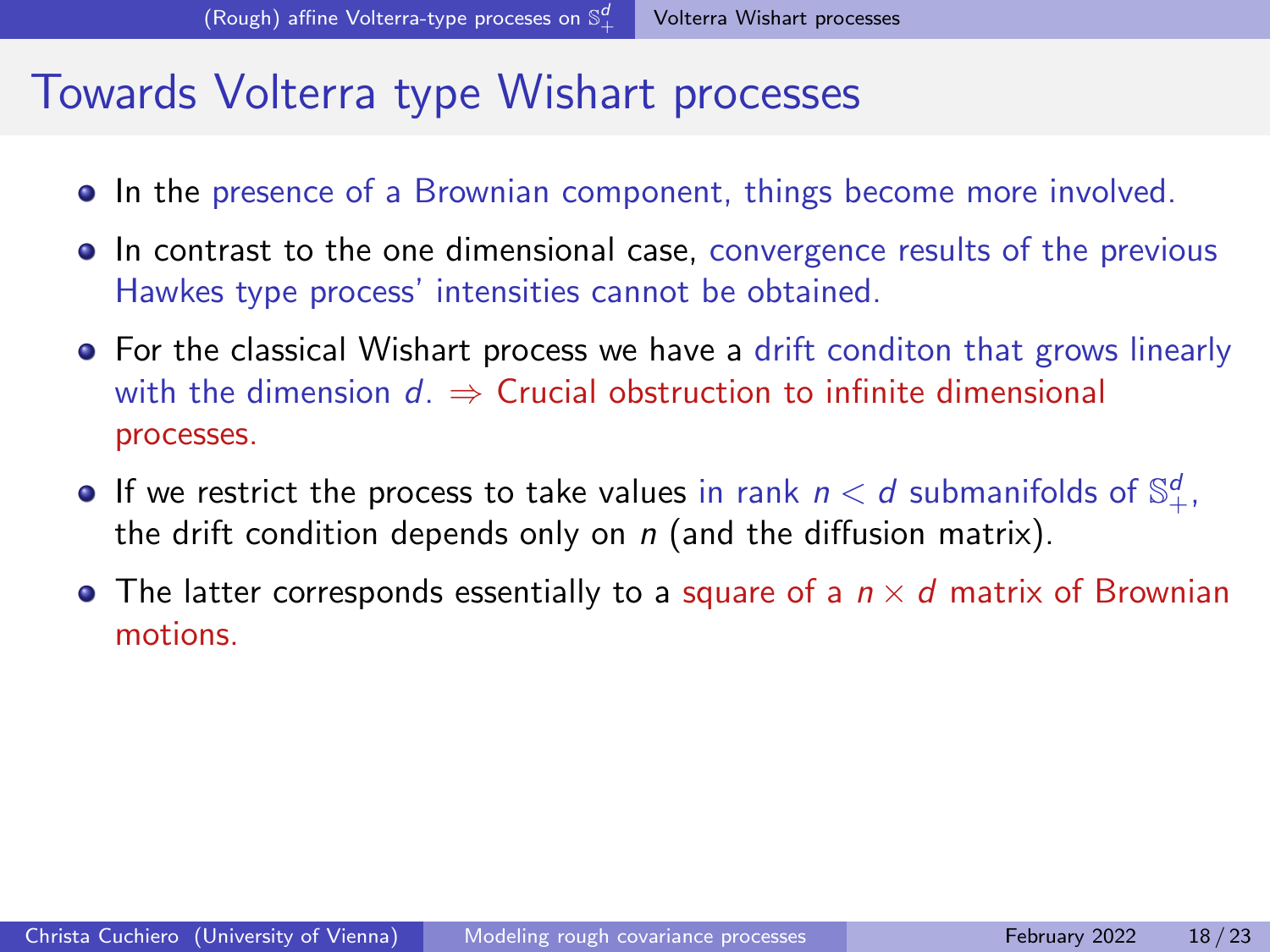#### Towards Volterra type Wishart processes

- $\bullet$  In the presence of a Brownian component, things become more involved.
- **In contrast to the one dimensional case, convergence results of the previous** Hawkes type process' intensities cannot be obtained.
- For the classical Wishart process we have a drift conditon that grows linearly with the dimension  $d. \Rightarrow$  Crucial obstruction to infinite dimensional processes.
- If we restrict the process to take values in rank  $n < d$  submanifolds of  $\mathbb{S}^d_+$ , the drift condition depends only on  $n$  (and the diffusion matrix).
- The latter corresponds essentially to a square of a  $n \times d$  matrix of Brownian motions.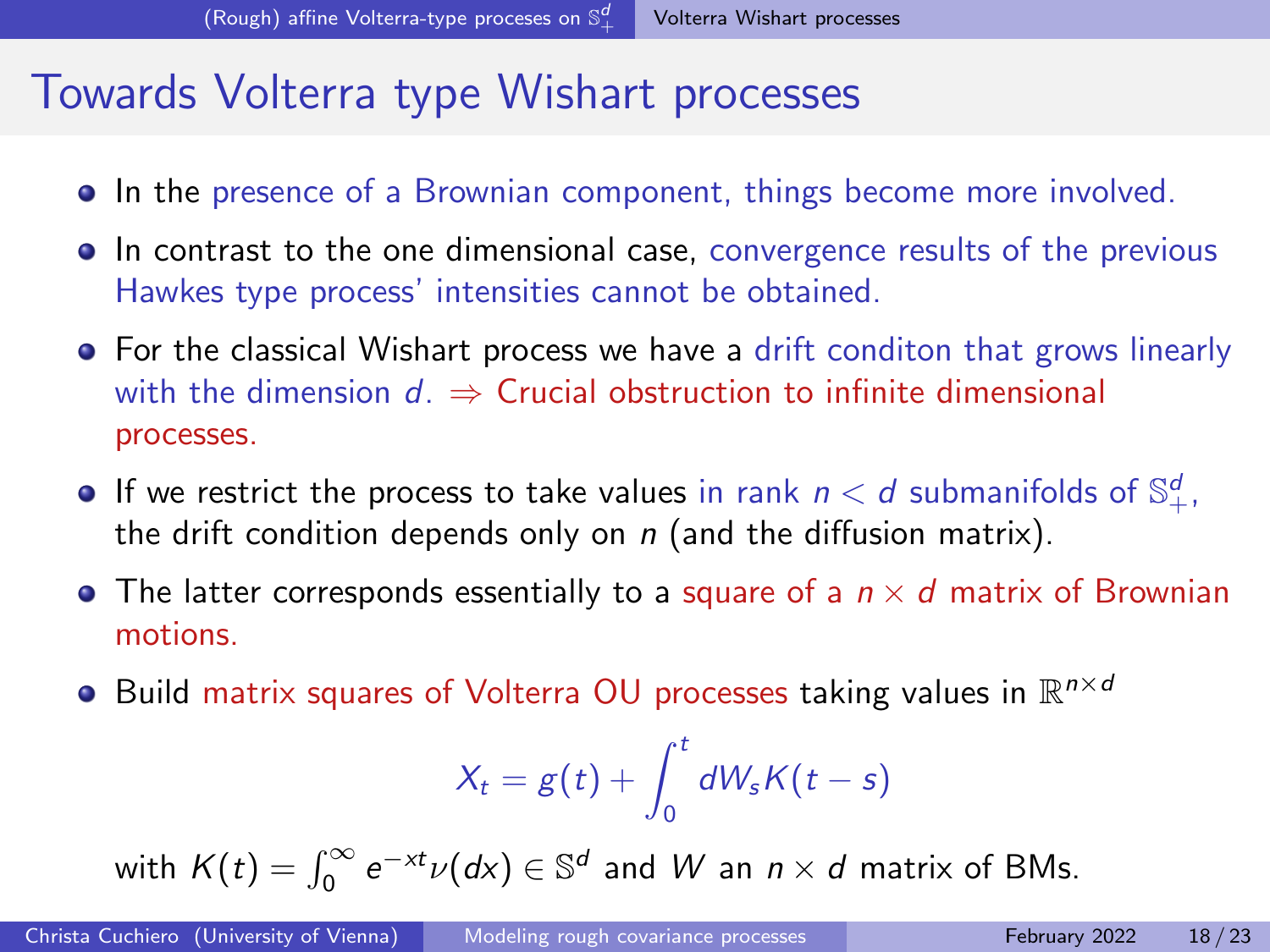### Towards Volterra type Wishart processes

- $\bullet$  In the presence of a Brownian component, things become more involved.
- **In contrast to the one dimensional case, convergence results of the previous** Hawkes type process' intensities cannot be obtained.
- For the classical Wishart process we have a drift conditon that grows linearly with the dimension  $d. \Rightarrow$  Crucial obstruction to infinite dimensional processes.
- If we restrict the process to take values in rank  $n < d$  submanifolds of  $\mathbb{S}^d_+$ , the drift condition depends only on  $n$  (and the diffusion matrix).
- The latter corresponds essentially to a square of a  $n \times d$  matrix of Brownian motions.
- Build matrix squares of Volterra OU processes taking values in  $\mathbb{R}^{n \times d}$

$$
X_t = g(t) + \int_0^t dW_s K(t-s)
$$

with  $K(t) = \int_0^\infty e^{-xt} \nu(dx) \in \mathbb{S}^d$  and  $W$  an  $n \times d$  matrix of BMs.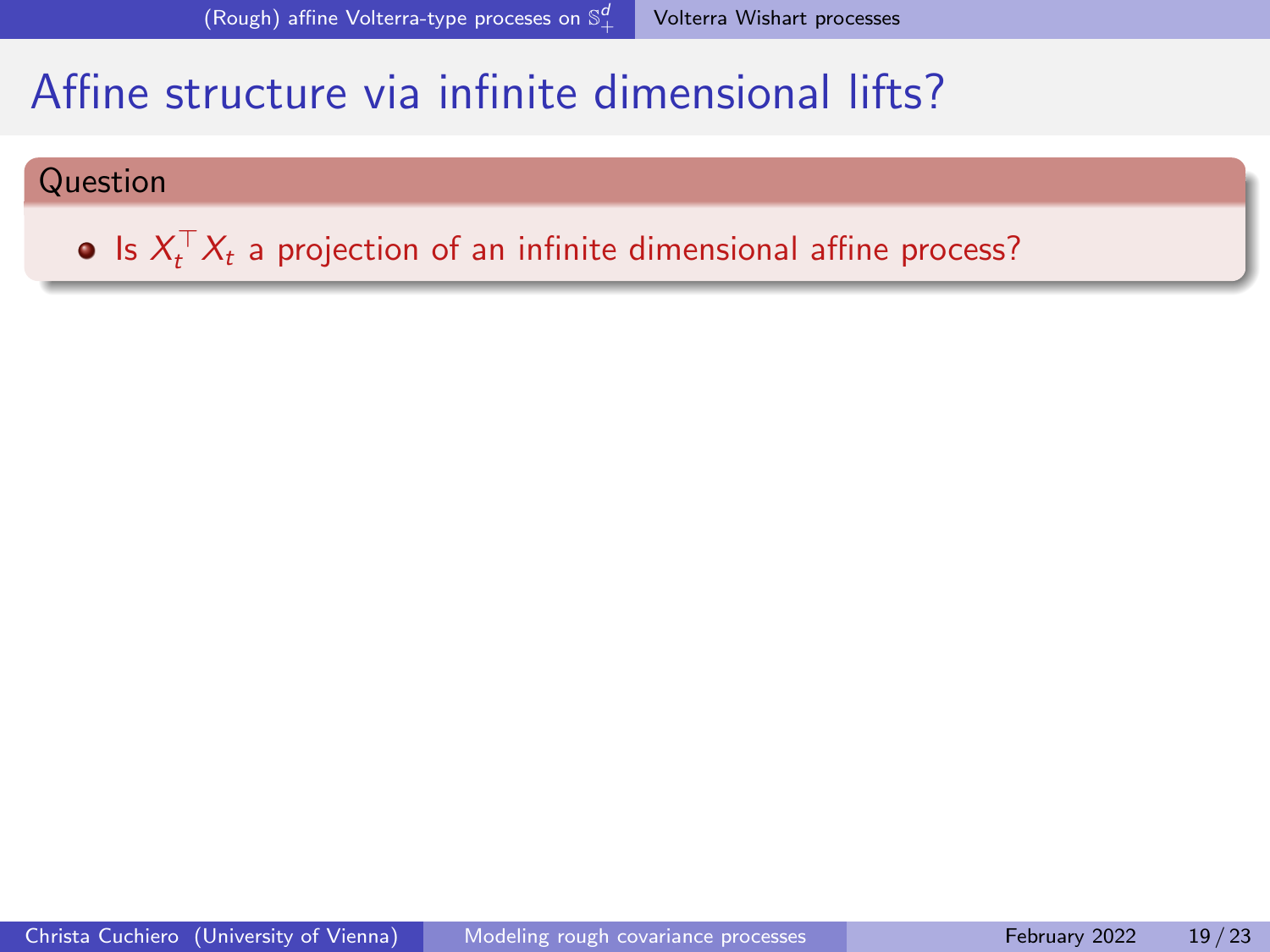#### Question

Is  $X_t^\top X_t$  a projection of an infinite dimensional affine process?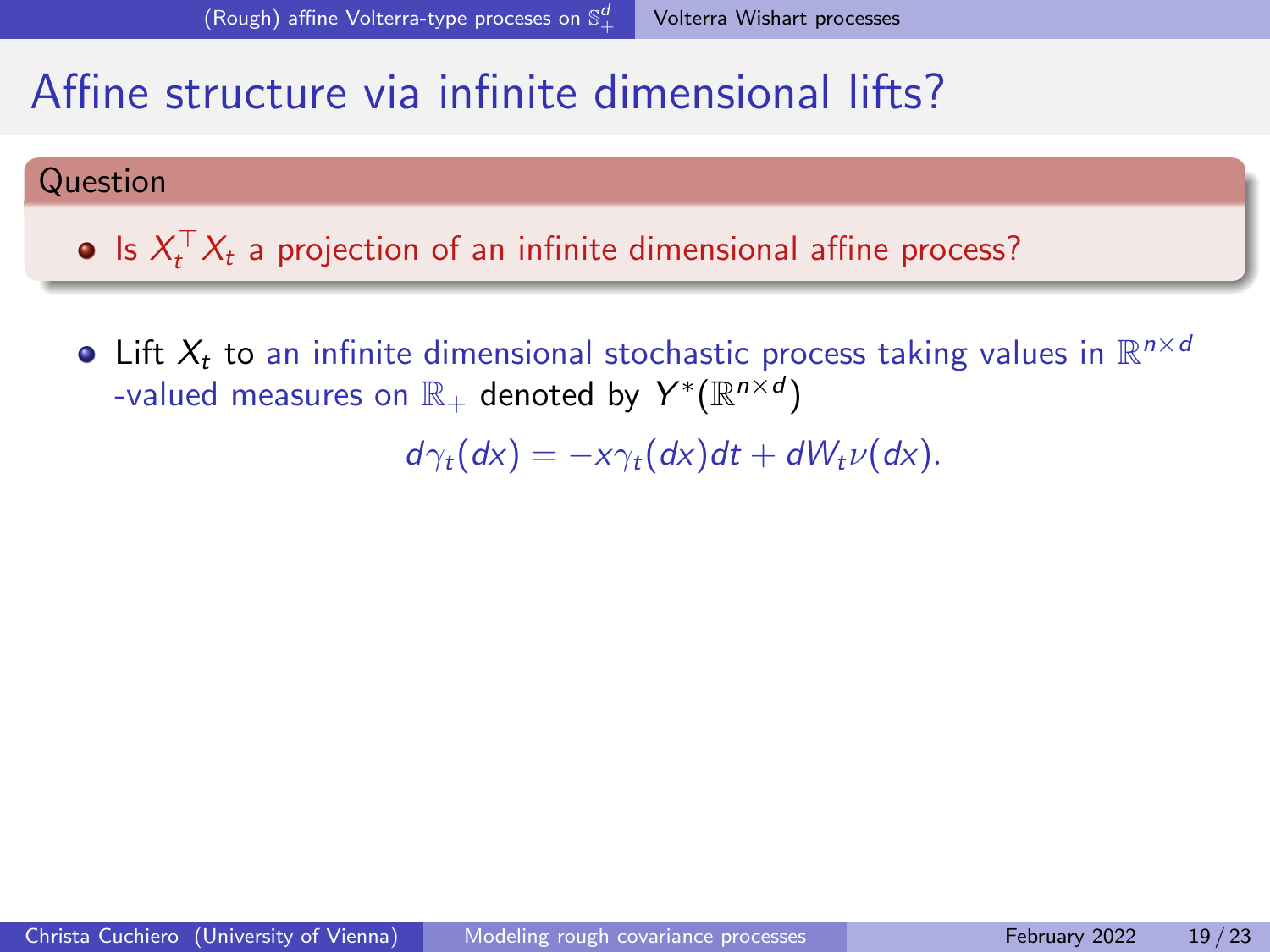#### Question

Is  $X_t^\top X_t$  a projection of an infinite dimensional affine process?

Lift  $X_t$  to an infinite dimensional stochastic process taking values in  $\mathbb{R}^{n \times d}$ -valued measures on  $\mathbb{R}_+$  denoted by  $Y^*(\mathbb{R}^{n\times d})$ 

 $d\gamma_t(dx) = -x\gamma_t(dx)dt + dW_t\nu(dx).$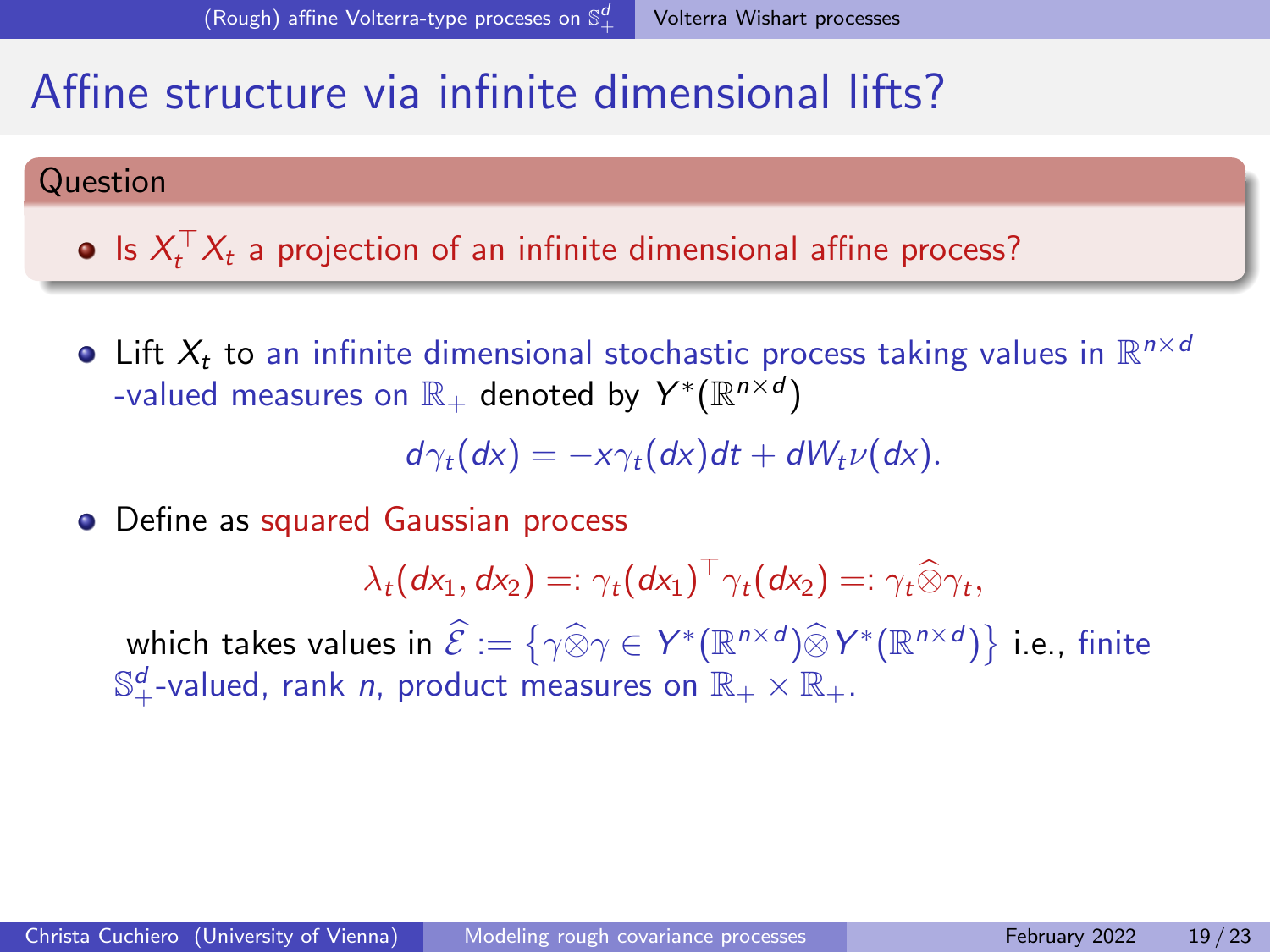#### Question

Is  $X_t^\top X_t$  a projection of an infinite dimensional affine process?

Lift  $X_t$  to an infinite dimensional stochastic process taking values in  $\mathbb{R}^{n \times d}$ -valued measures on  $\mathbb{R}_+$  denoted by  $Y^*(\mathbb{R}^{n\times d})$ 

 $d\gamma_t(dx) = -x\gamma_t(dx)dt + dW_t\nu(dx).$ 

• Define as squared Gaussian process

 $\lambda_t(dx_1, dx_2) =: \gamma_t(dx_1)^\top \gamma_t(dx_2) =: \gamma_t \widehat{\otimes} \gamma_t,$ 

which takes values in  $\widehat{\mathcal{E}} := \{ \gamma \widehat{\otimes} \gamma \in Y^*(\mathbb{R}^{n \times d}) \widehat{\otimes} Y^*(\mathbb{R}^{n \times d}) \}$  i.e., finite  $\mathbb{S}_{+}^{d}$ -valued, rank *n*, product measures on  $\mathbb{R}_{+}\times\mathbb{R}_{+}.$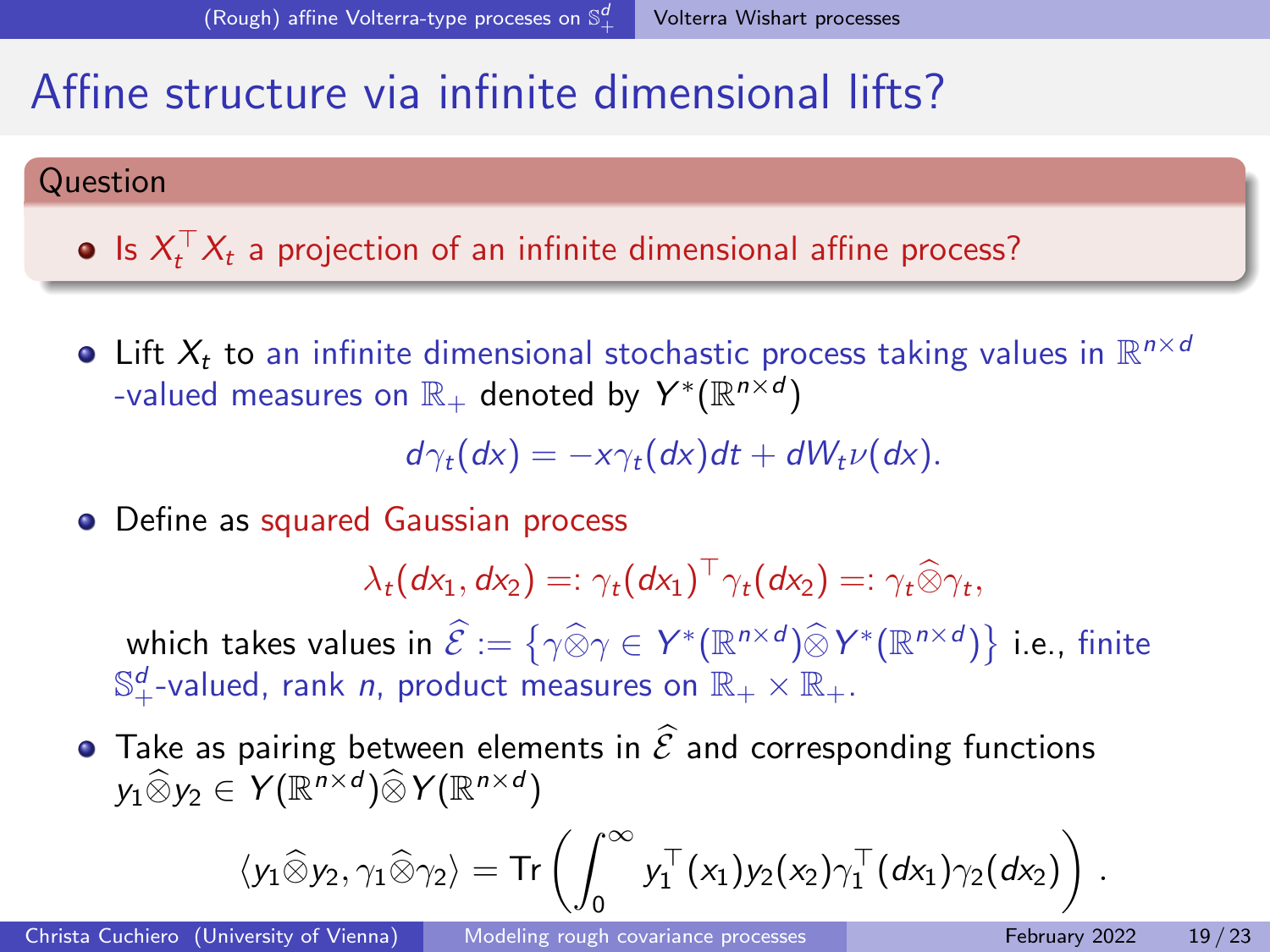#### Question

Is  $X_t^\top X_t$  a projection of an infinite dimensional affine process?

Lift  $X_t$  to an infinite dimensional stochastic process taking values in  $\mathbb{R}^{n \times d}$ -valued measures on  $\mathbb{R}_+$  denoted by  $Y^*(\mathbb{R}^{n\times d})$ 

 $d\gamma_t(dx) = -x\gamma_t(dx)dt + dW_t\nu(dx).$ 

• Define as squared Gaussian process

 $\lambda_t(dx_1, dx_2) =: \gamma_t(dx_1)^\top \gamma_t(dx_2) =: \gamma_t \widehat{\otimes} \gamma_t,$ 

which takes values in  $\widehat{\mathcal{E}} := \{ \gamma \widehat{\otimes} \gamma \in Y^*(\mathbb{R}^{n \times d}) \widehat{\otimes} Y^*(\mathbb{R}^{n \times d}) \}$  i.e., finite  $\mathbb{S}_{+}^{d}$ -valued, rank *n*, product measures on  $\mathbb{R}_{+}\times\mathbb{R}_{+}.$ 

 $\bullet$  Take as pairing between elements in  $\widehat{\mathcal{E}}$  and corresponding functions  $y_1 \widehat{\otimes} y_2 \in Y(\mathbb{R}^{n \times d}) \widehat{\otimes} Y(\mathbb{R}^{n \times d})$ 

$$
\langle y_1\widehat{\otimes} y_2, \gamma_1\widehat{\otimes} \gamma_2 \rangle = \text{Tr}\left(\int_0^\infty y_1^\top(x_1) y_2(x_2) \gamma_1^\top(dx_1) \gamma_2(dx_2)\right)\,.
$$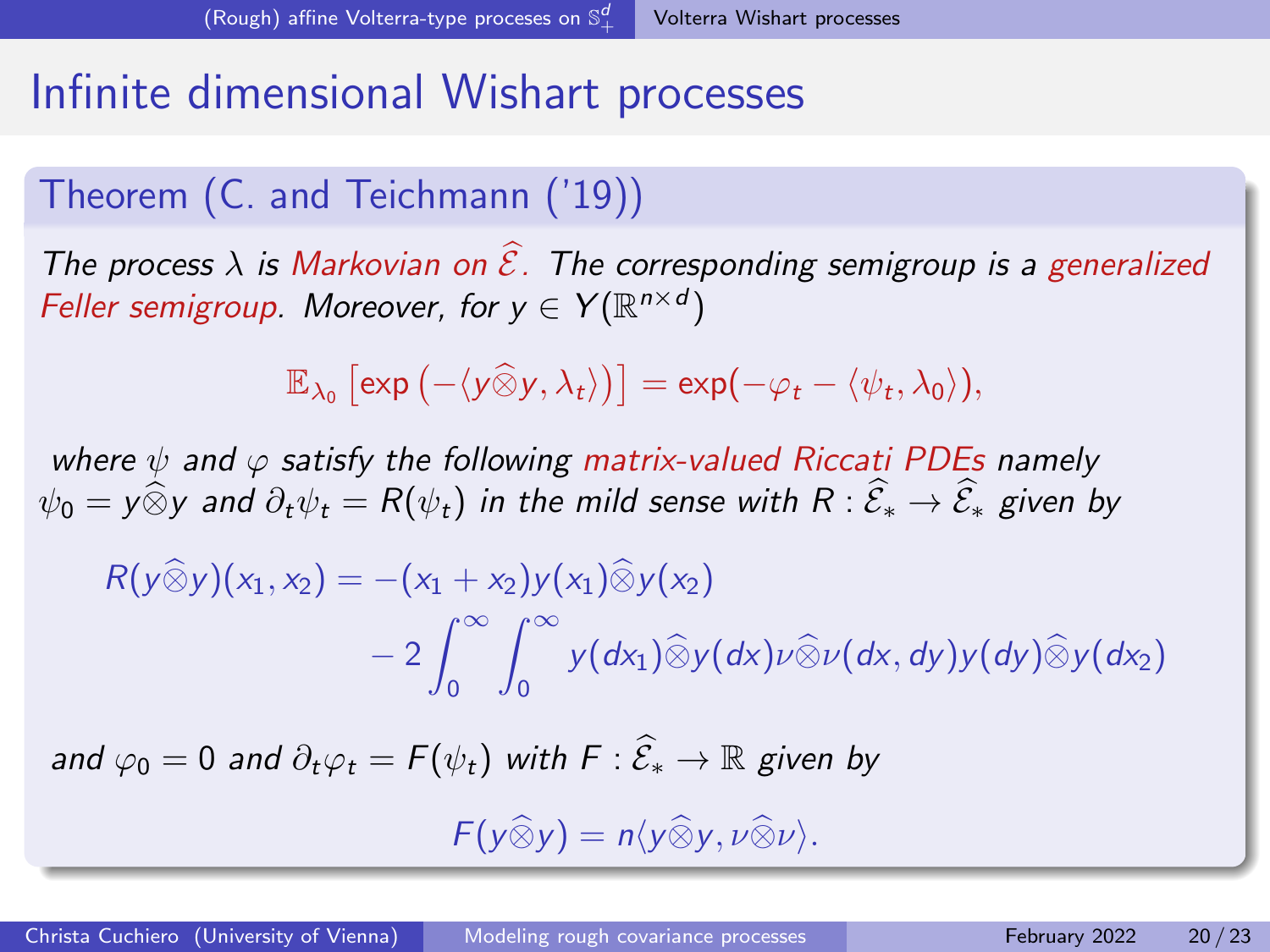### Infinite dimensional Wishart processes

#### Theorem (C. and Teichmann ('19))

The process  $\lambda$  is Markovian on  $\widehat{\mathcal{E}}$ . The corresponding semigroup is a generalized Feller semigroup. Moreover, for  $y \in Y(\mathbb{R}^{n \times d})$ 

$$
\mathbb{E}_{\lambda_0}\left[\exp\left(-\langle y\widehat{\otimes}y,\lambda_t\rangle\right)\right]=\exp(-\varphi_t-\langle \psi_t,\lambda_0\rangle),
$$

where  $\psi$  and  $\varphi$  satisfy the following matrix-valued Riccati PDEs namely  $\psi_0 = y \widehat{\otimes} y$  and  $\partial_t \psi_t = R(\psi_t)$  in the mild sense with  $R : \widehat{\mathcal{E}}_* \to \widehat{\mathcal{E}}_*$  given by

$$
R(y\widehat{\otimes}y)(x_1,x_2) = -(x_1+x_2)y(x_1)\widehat{\otimes}y(x_2)
$$
  

$$
-2\int_0^\infty \int_0^\infty y(dx_1)\widehat{\otimes}y(dx)\nu\widehat{\otimes}\nu(dx,dy)y(dy)\widehat{\otimes}y(dx_2)
$$

and  $\varphi_0 = 0$  and  $\partial_t \varphi_t = F(\psi_t)$  with  $F : \widehat{\mathcal{E}}_* \to \mathbb{R}$  given by

$$
F(y\widehat{\otimes} y)=n\langle y\widehat{\otimes} y,\nu\widehat{\otimes}\nu\rangle.
$$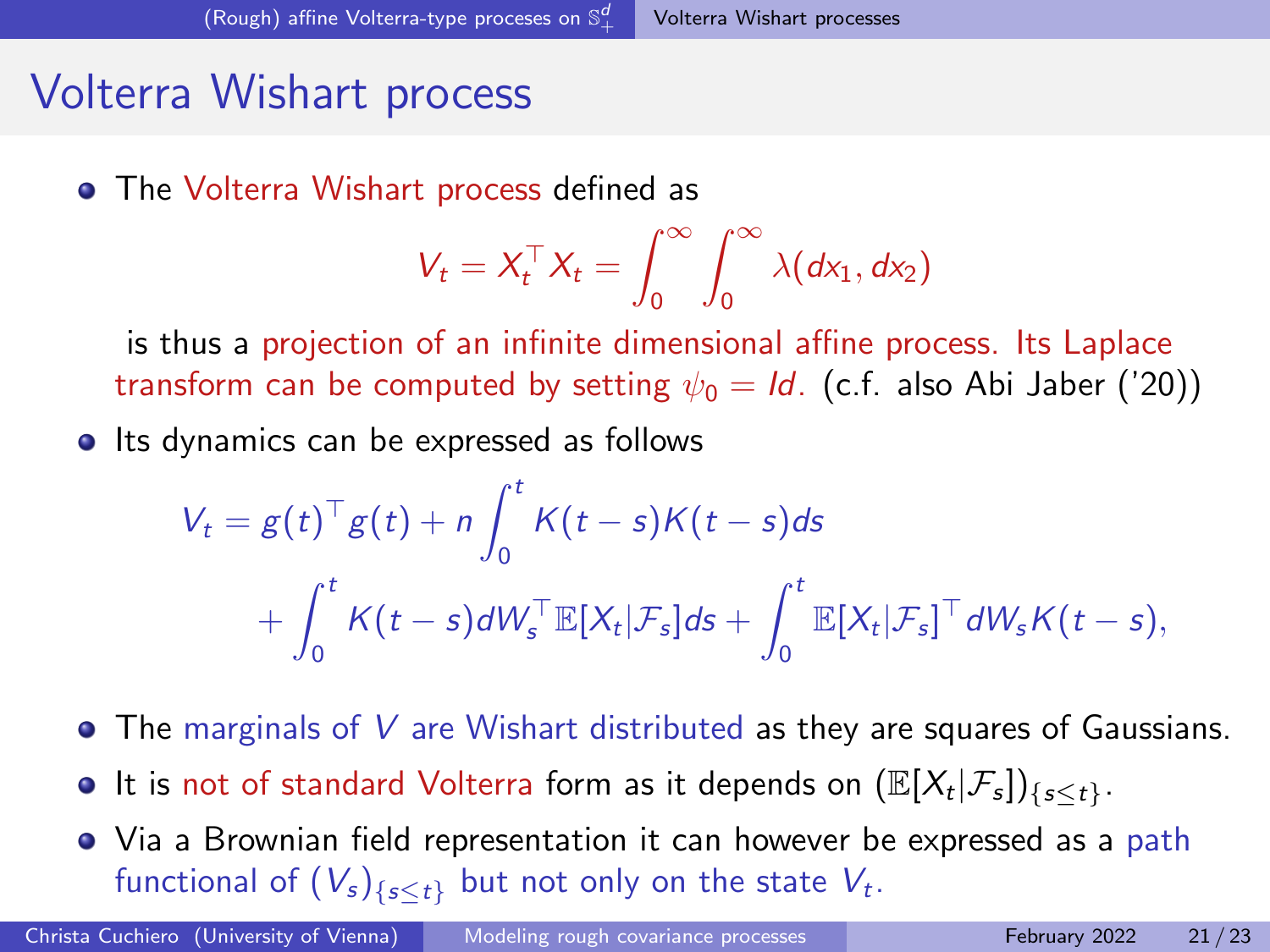### Volterra Wishart process

The Volterra Wishart process defined as

$$
V_t = X_t^\top X_t = \int_0^\infty \int_0^\infty \lambda(dx_1, dx_2)
$$

is thus a projection of an infinite dimensional affine process. Its Laplace transform can be computed by setting  $\psi_0 = Id$ . (c.f. also Abi Jaber ('20))

• Its dynamics can be expressed as follows

$$
V_t = g(t)^\top g(t) + n \int_0^t K(t-s)K(t-s)ds
$$
  
+ 
$$
\int_0^t K(t-s)dW_s^\top \mathbb{E}[X_t|\mathcal{F}_s]ds + \int_0^t \mathbb{E}[X_t|\mathcal{F}_s]^\top dW_sK(t-s),
$$

- $\bullet$  The marginals of V are Wishart distributed as they are squares of Gaussians.
- It is not of standard Volterra form as it depends on  $(\mathbb{E}[X_t|\mathcal{F}_s])_{\{s\leq t\}}$ .
- Via a Brownian field representation it can however be expressed as a path functional of  $(V_s)_{\{s\leq t\}}$  but not only on the state  $V_t.$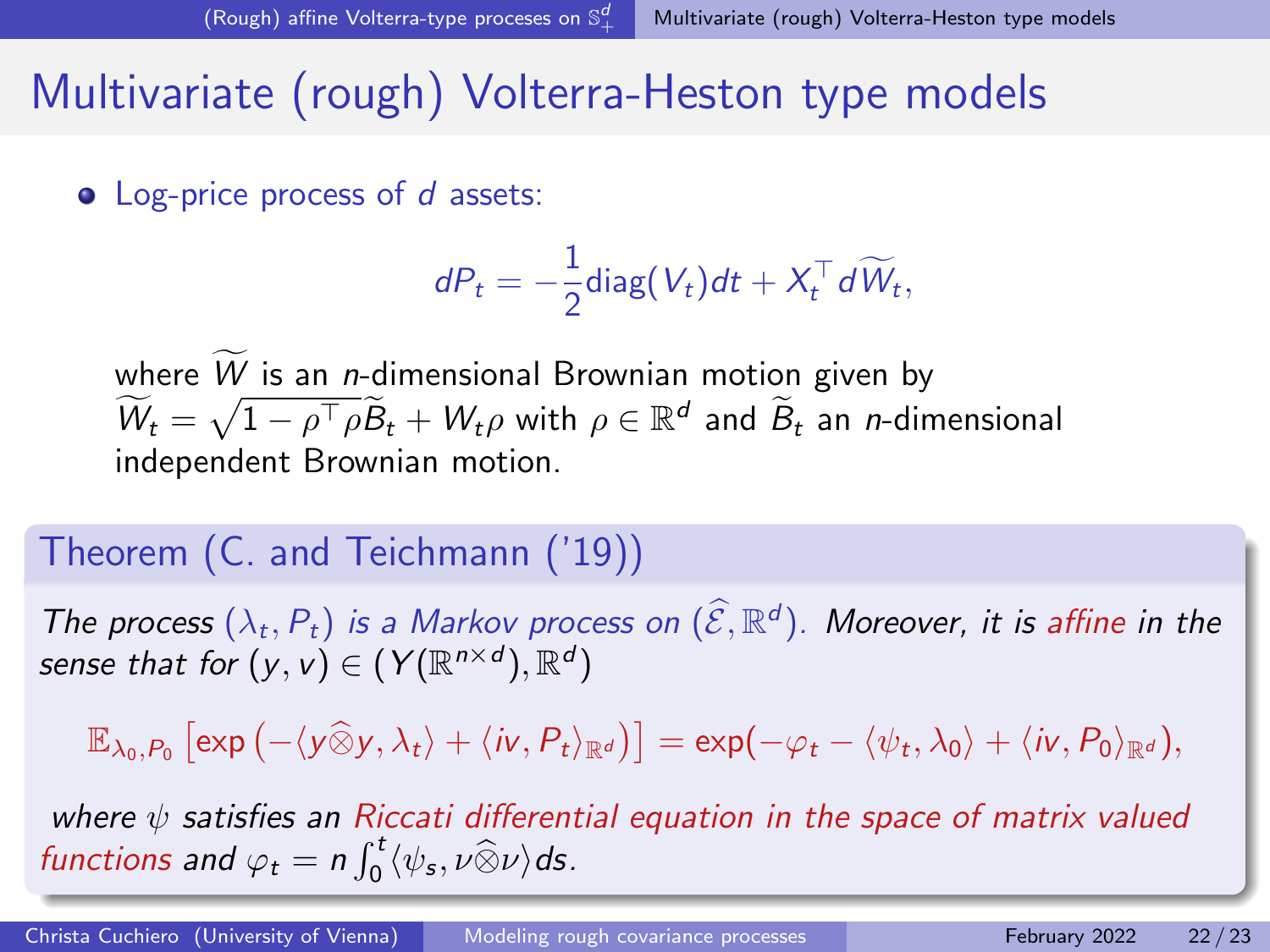### <span id="page-47-0"></span>Multivariate (rough) Volterra-Heston type models

• Log-price process of d assets:

$$
dP_t = -\frac{1}{2} \text{diag}(V_t) dt + X_t^{\top} d\widetilde{W}_t,
$$

where  $W$  is an n-dimensional Brownian motion given by  $W_t = \sqrt{1 - \rho^{\top} \rho} \tilde{B}_t + W_t \rho$  with  $\rho \in \mathbb{R}^d$  and  $\tilde{B}_t$  an *n*-dimensional independent Brownian motion.

#### Theorem (C. and Teichmann ('19))

The process  $(\lambda_t, P_t)$  is a Markov process on  $(\widehat{\mathcal{E}}, \mathbb{R}^d)$ . Moreover, it is affine in the sense that for  $(\mathsf{y},\mathsf{v})\in(\mathsf{Y}(\mathbb{R}^{n\times d}),\mathbb{R}^{d})$ 

 $\mathbb{E}_{\lambda_0,P_0}\left[\exp\left(-\langle y\widehat{\otimes}y,\lambda_t\rangle+\langle i\nu,P_t\rangle_{\mathbb{R}^d}\right)\right]=\exp(-\varphi_t-\langle \psi_t,\lambda_0\rangle+\langle i\nu,P_0\rangle_{\mathbb{R}^d}),$ 

where  $\psi$  satisfies an Riccati differential equation in the space of matrix valued functions and  $\varphi_t = n \int_0^t \langle \psi_s, \nu \widehat{\otimes} \nu \rangle ds$ .